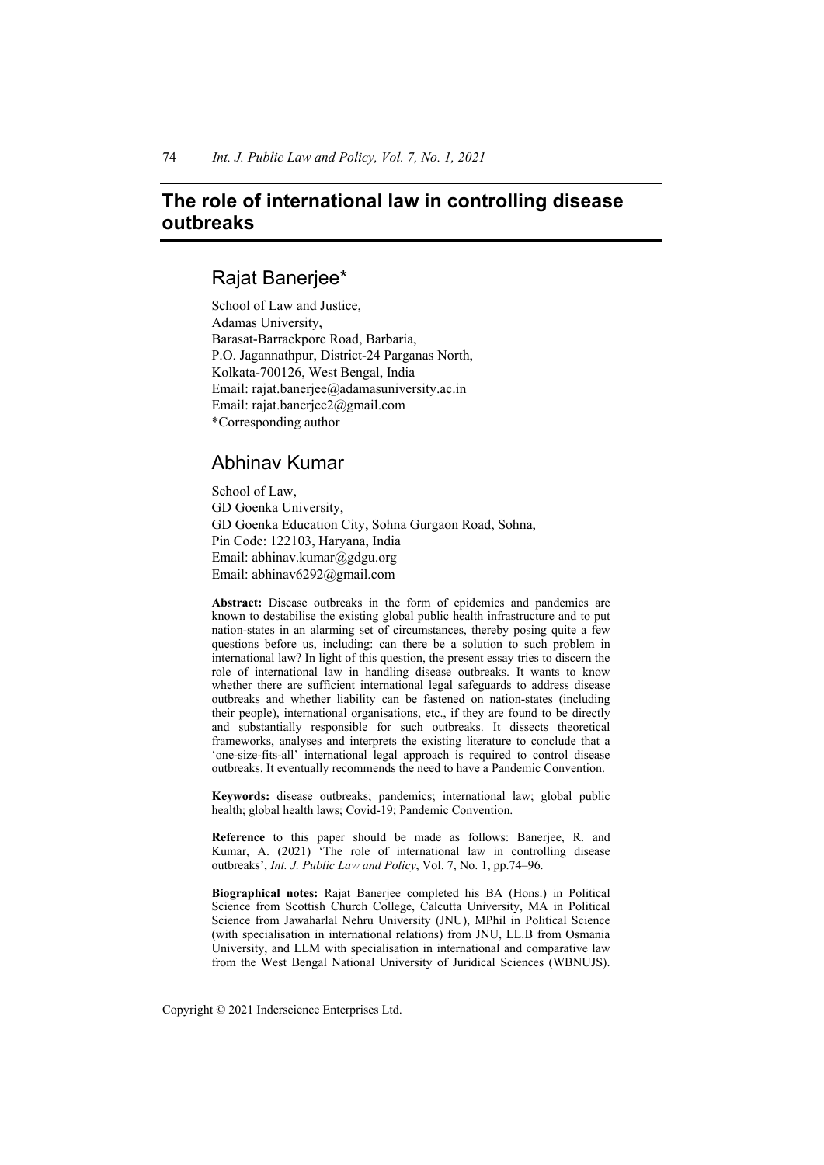# **The role of international law in controlling disease outbreaks**

## Rajat Banerjee\*

School of Law and Justice, Adamas University, Barasat-Barrackpore Road, Barbaria, P.O. Jagannathpur, District-24 Parganas North, Kolkata-700126, West Bengal, India Email: rajat.banerjee@adamasuniversity.ac.in Email: rajat.banerjee2@gmail.com \*Corresponding author

## Abhinav Kumar

School of Law, GD Goenka University, GD Goenka Education City, Sohna Gurgaon Road, Sohna, Pin Code: 122103, Haryana, India Email: abhinav.kumar@gdgu.org Email: abhinav6292@gmail.com

**Abstract:** Disease outbreaks in the form of epidemics and pandemics are known to destabilise the existing global public health infrastructure and to put nation-states in an alarming set of circumstances, thereby posing quite a few questions before us, including: can there be a solution to such problem in international law? In light of this question, the present essay tries to discern the role of international law in handling disease outbreaks. It wants to know whether there are sufficient international legal safeguards to address disease outbreaks and whether liability can be fastened on nation-states (including their people), international organisations, etc., if they are found to be directly and substantially responsible for such outbreaks. It dissects theoretical frameworks, analyses and interprets the existing literature to conclude that a 'one-size-fits-all' international legal approach is required to control disease outbreaks. It eventually recommends the need to have a Pandemic Convention.

**Keywords:** disease outbreaks; pandemics; international law; global public health; global health laws; Covid-19; Pandemic Convention.

**Reference** to this paper should be made as follows: Banerjee, R. and Kumar, A. (2021) 'The role of international law in controlling disease outbreaks', *Int. J. Public Law and Policy*, Vol. 7, No. 1, pp.74–96.

**Biographical notes:** Rajat Banerjee completed his BA (Hons.) in Political Science from Scottish Church College, Calcutta University, MA in Political Science from Jawaharlal Nehru University (JNU), MPhil in Political Science (with specialisation in international relations) from JNU, LL.B from Osmania University, and LLM with specialisation in international and comparative law from the West Bengal National University of Juridical Sciences (WBNUJS).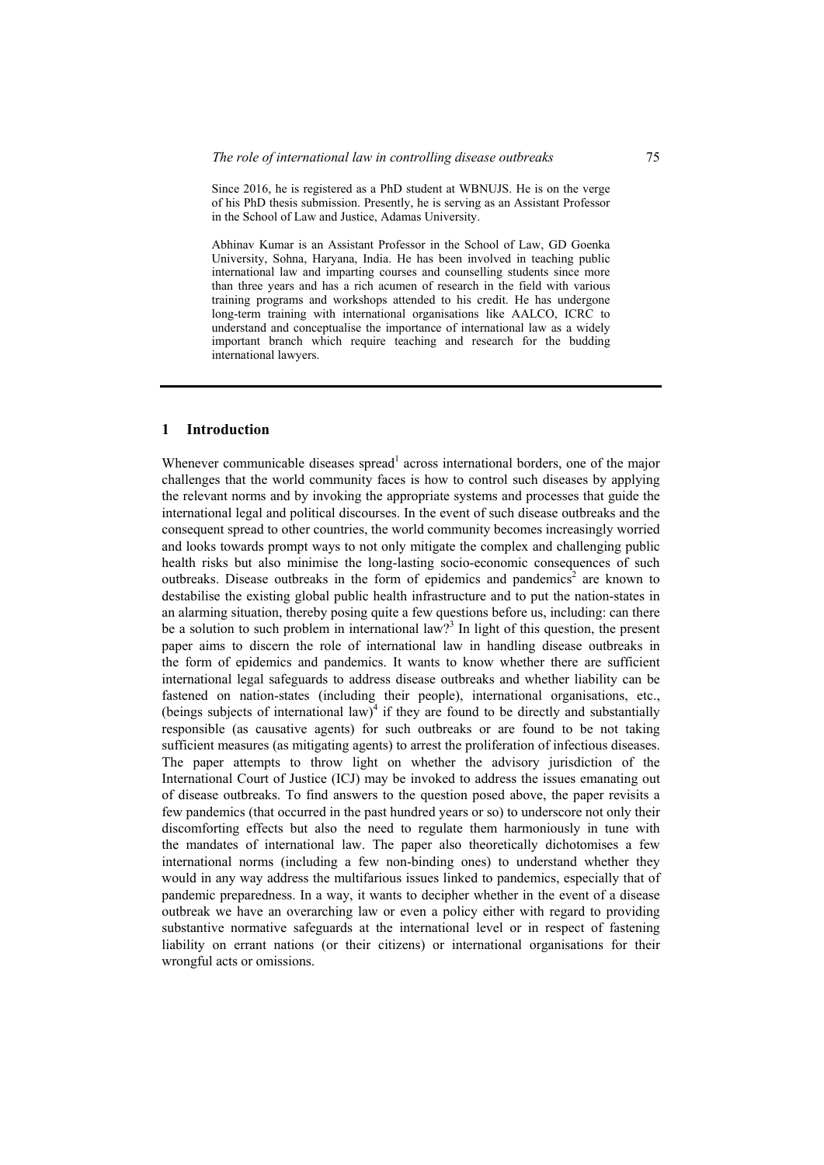Since 2016, he is registered as a PhD student at WBNUJS. He is on the verge of his PhD thesis submission. Presently, he is serving as an Assistant Professor in the School of Law and Justice, Adamas University.

Abhinav Kumar is an Assistant Professor in the School of Law, GD Goenka University, Sohna, Haryana, India. He has been involved in teaching public international law and imparting courses and counselling students since more than three years and has a rich acumen of research in the field with various training programs and workshops attended to his credit. He has undergone long-term training with international organisations like AALCO, ICRC to understand and conceptualise the importance of international law as a widely important branch which require teaching and research for the budding international lawyers.

#### **1 Introduction**

Whenever communicable diseases spread<sup>1</sup> across international borders, one of the major challenges that the world community faces is how to control such diseases by applying the relevant norms and by invoking the appropriate systems and processes that guide the international legal and political discourses. In the event of such disease outbreaks and the consequent spread to other countries, the world community becomes increasingly worried and looks towards prompt ways to not only mitigate the complex and challenging public health risks but also minimise the long-lasting socio-economic consequences of such outbreaks. Disease outbreaks in the form of epidemics and pandemics<sup>2</sup> are known to destabilise the existing global public health infrastructure and to put the nation-states in an alarming situation, thereby posing quite a few questions before us, including: can there be a solution to such problem in international law?<sup>3</sup> In light of this question, the present paper aims to discern the role of international law in handling disease outbreaks in the form of epidemics and pandemics. It wants to know whether there are sufficient international legal safeguards to address disease outbreaks and whether liability can be fastened on nation-states (including their people), international organisations, etc., (beings subjects of international law)<sup>4</sup> if they are found to be directly and substantially responsible (as causative agents) for such outbreaks or are found to be not taking sufficient measures (as mitigating agents) to arrest the proliferation of infectious diseases. The paper attempts to throw light on whether the advisory jurisdiction of the International Court of Justice (ICJ) may be invoked to address the issues emanating out of disease outbreaks. To find answers to the question posed above, the paper revisits a few pandemics (that occurred in the past hundred years or so) to underscore not only their discomforting effects but also the need to regulate them harmoniously in tune with the mandates of international law. The paper also theoretically dichotomises a few international norms (including a few non-binding ones) to understand whether they would in any way address the multifarious issues linked to pandemics, especially that of pandemic preparedness. In a way, it wants to decipher whether in the event of a disease outbreak we have an overarching law or even a policy either with regard to providing substantive normative safeguards at the international level or in respect of fastening liability on errant nations (or their citizens) or international organisations for their wrongful acts or omissions.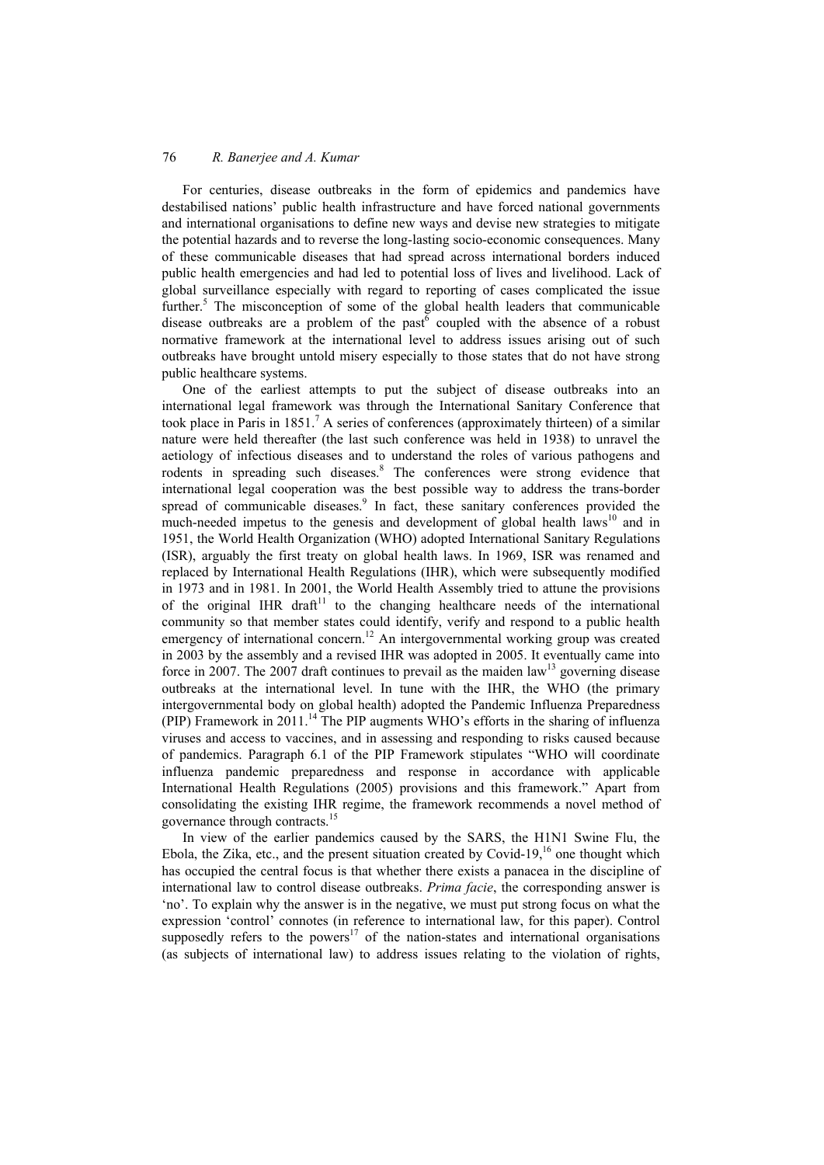For centuries, disease outbreaks in the form of epidemics and pandemics have destabilised nations' public health infrastructure and have forced national governments and international organisations to define new ways and devise new strategies to mitigate the potential hazards and to reverse the long-lasting socio-economic consequences. Many of these communicable diseases that had spread across international borders induced public health emergencies and had led to potential loss of lives and livelihood. Lack of global surveillance especially with regard to reporting of cases complicated the issue further.<sup>5</sup> The misconception of some of the global health leaders that communicable disease outbreaks are a problem of the past $6$  coupled with the absence of a robust normative framework at the international level to address issues arising out of such outbreaks have brought untold misery especially to those states that do not have strong public healthcare systems.

One of the earliest attempts to put the subject of disease outbreaks into an international legal framework was through the International Sanitary Conference that took place in Paris in 1851.<sup>7</sup> A series of conferences (approximately thirteen) of a similar nature were held thereafter (the last such conference was held in 1938) to unravel the aetiology of infectious diseases and to understand the roles of various pathogens and rodents in spreading such diseases.<sup>8</sup> The conferences were strong evidence that international legal cooperation was the best possible way to address the trans-border spread of communicable diseases.<sup>9</sup> In fact, these sanitary conferences provided the much-needed impetus to the genesis and development of global health laws<sup>10</sup> and in 1951, the World Health Organization (WHO) adopted International Sanitary Regulations (ISR), arguably the first treaty on global health laws. In 1969, ISR was renamed and replaced by International Health Regulations (IHR), which were subsequently modified in 1973 and in 1981. In 2001, the World Health Assembly tried to attune the provisions of the original IHR draft<sup>11</sup> to the changing healthcare needs of the international community so that member states could identify, verify and respond to a public health emergency of international concern.<sup>12</sup> An intergovernmental working group was created in 2003 by the assembly and a revised IHR was adopted in 2005. It eventually came into force in 2007. The 2007 draft continues to prevail as the maiden law<sup>13</sup> governing disease outbreaks at the international level. In tune with the IHR, the WHO (the primary intergovernmental body on global health) adopted the Pandemic Influenza Preparedness (PIP) Framework in 2011.<sup>14</sup> The PIP augments WHO's efforts in the sharing of influenza viruses and access to vaccines, and in assessing and responding to risks caused because of pandemics. Paragraph 6.1 of the PIP Framework stipulates "WHO will coordinate influenza pandemic preparedness and response in accordance with applicable International Health Regulations (2005) provisions and this framework." Apart from consolidating the existing IHR regime, the framework recommends a novel method of governance through contracts.15

In view of the earlier pandemics caused by the SARS, the H1N1 Swine Flu, the Ebola, the Zika, etc., and the present situation created by Covid-19,<sup>16</sup> one thought which has occupied the central focus is that whether there exists a panacea in the discipline of international law to control disease outbreaks. *Prima facie*, the corresponding answer is 'no'. To explain why the answer is in the negative, we must put strong focus on what the expression 'control' connotes (in reference to international law, for this paper). Control supposedly refers to the powers<sup>17</sup> of the nation-states and international organisations (as subjects of international law) to address issues relating to the violation of rights,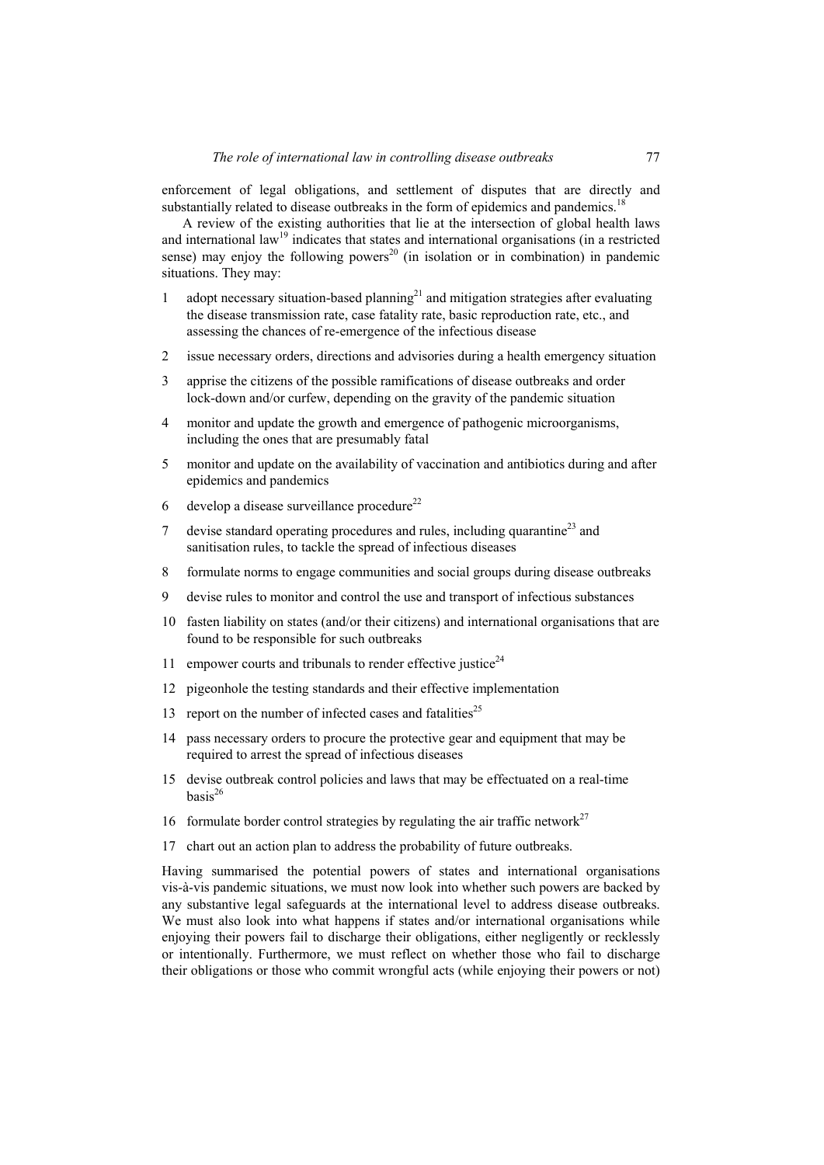enforcement of legal obligations, and settlement of disputes that are directly and substantially related to disease outbreaks in the form of epidemics and pandemics.<sup>18</sup>

A review of the existing authorities that lie at the intersection of global health laws and international law<sup>19</sup> indicates that states and international organisations (in a restricted sense) may enjoy the following powers<sup>20</sup> (in isolation or in combination) in pandemic situations. They may:

- 1 adopt necessary situation-based planning<sup>21</sup> and mitigation strategies after evaluating the disease transmission rate, case fatality rate, basic reproduction rate, etc., and assessing the chances of re-emergence of the infectious disease
- 2 issue necessary orders, directions and advisories during a health emergency situation
- 3 apprise the citizens of the possible ramifications of disease outbreaks and order lock-down and/or curfew, depending on the gravity of the pandemic situation
- 4 monitor and update the growth and emergence of pathogenic microorganisms, including the ones that are presumably fatal
- 5 monitor and update on the availability of vaccination and antibiotics during and after epidemics and pandemics
- 6 develop a disease surveillance procedure<sup>22</sup>
- 7 devise standard operating procedures and rules, including quarantine<sup>23</sup> and sanitisation rules, to tackle the spread of infectious diseases
- 8 formulate norms to engage communities and social groups during disease outbreaks
- 9 devise rules to monitor and control the use and transport of infectious substances
- 10 fasten liability on states (and/or their citizens) and international organisations that are found to be responsible for such outbreaks
- 11 empower courts and tribunals to render effective justice<sup>24</sup>
- 12 pigeonhole the testing standards and their effective implementation
- 13 report on the number of infected cases and fatalities<sup>25</sup>
- 14 pass necessary orders to procure the protective gear and equipment that may be required to arrest the spread of infectious diseases
- 15 devise outbreak control policies and laws that may be effectuated on a real-time  $hasis<sup>26</sup>$
- 16 formulate border control strategies by regulating the air traffic network<sup>27</sup>
- 17 chart out an action plan to address the probability of future outbreaks.

Having summarised the potential powers of states and international organisations vis-à-vis pandemic situations, we must now look into whether such powers are backed by any substantive legal safeguards at the international level to address disease outbreaks. We must also look into what happens if states and/or international organisations while enjoying their powers fail to discharge their obligations, either negligently or recklessly or intentionally. Furthermore, we must reflect on whether those who fail to discharge their obligations or those who commit wrongful acts (while enjoying their powers or not)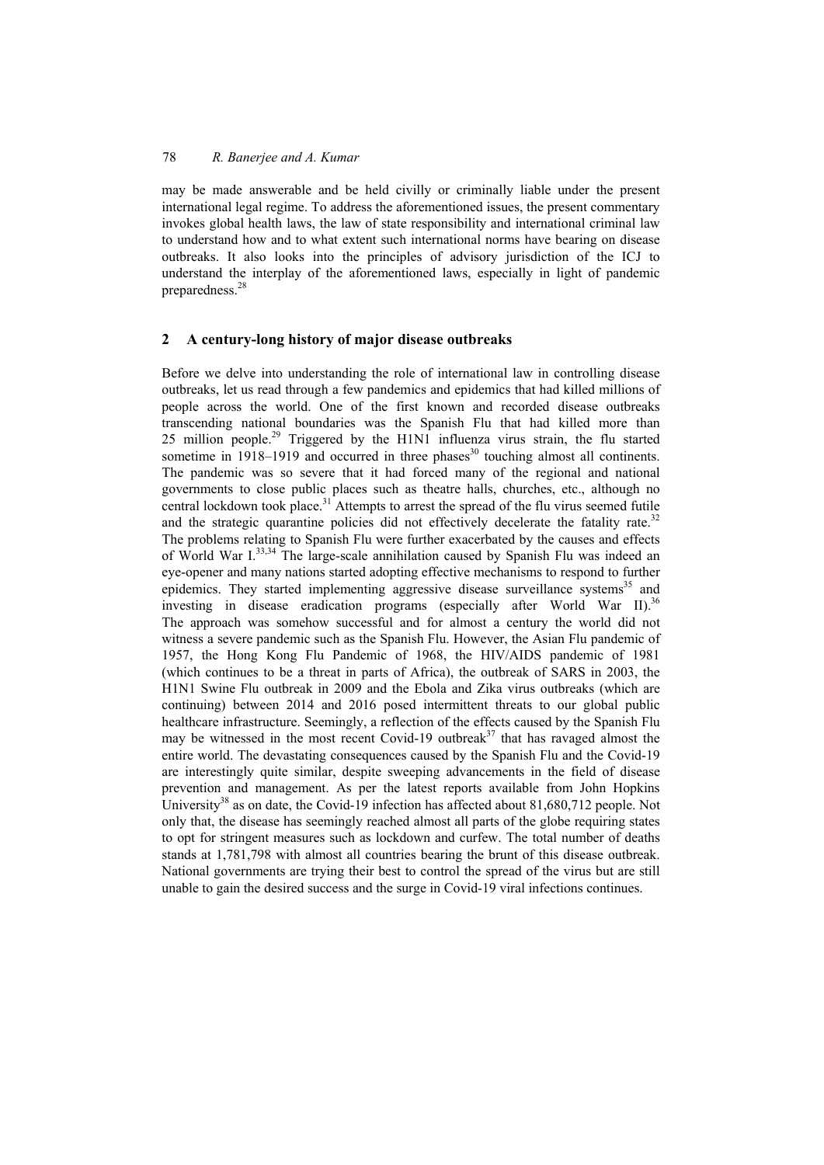may be made answerable and be held civilly or criminally liable under the present international legal regime. To address the aforementioned issues, the present commentary invokes global health laws, the law of state responsibility and international criminal law to understand how and to what extent such international norms have bearing on disease outbreaks. It also looks into the principles of advisory jurisdiction of the ICJ to understand the interplay of the aforementioned laws, especially in light of pandemic preparedness.<sup>28</sup>

### **2 A century-long history of major disease outbreaks**

Before we delve into understanding the role of international law in controlling disease outbreaks, let us read through a few pandemics and epidemics that had killed millions of people across the world. One of the first known and recorded disease outbreaks transcending national boundaries was the Spanish Flu that had killed more than 25 million people.<sup>29</sup> Triggered by the H1N1 influenza virus strain, the flu started sometime in  $1918-1919$  and occurred in three phases<sup>30</sup> touching almost all continents. The pandemic was so severe that it had forced many of the regional and national governments to close public places such as theatre halls, churches, etc., although no central lockdown took place.<sup>31</sup> Attempts to arrest the spread of the flu virus seemed futile and the strategic quarantine policies did not effectively decelerate the fatality rate.<sup>32</sup> The problems relating to Spanish Flu were further exacerbated by the causes and effects of World War I.33,34 The large-scale annihilation caused by Spanish Flu was indeed an eye-opener and many nations started adopting effective mechanisms to respond to further epidemics. They started implementing aggressive disease surveillance systems<sup>35</sup> and investing in disease eradication programs (especially after World War II).<sup>36</sup> The approach was somehow successful and for almost a century the world did not witness a severe pandemic such as the Spanish Flu. However, the Asian Flu pandemic of 1957, the Hong Kong Flu Pandemic of 1968, the HIV/AIDS pandemic of 1981 (which continues to be a threat in parts of Africa), the outbreak of SARS in 2003, the H1N1 Swine Flu outbreak in 2009 and the Ebola and Zika virus outbreaks (which are continuing) between 2014 and 2016 posed intermittent threats to our global public healthcare infrastructure. Seemingly, a reflection of the effects caused by the Spanish Flu may be witnessed in the most recent Covid-19 outbreak<sup>37</sup> that has ravaged almost the entire world. The devastating consequences caused by the Spanish Flu and the Covid-19 are interestingly quite similar, despite sweeping advancements in the field of disease prevention and management. As per the latest reports available from John Hopkins University<sup>38</sup> as on date, the Covid-19 infection has affected about 81,680,712 people. Not only that, the disease has seemingly reached almost all parts of the globe requiring states to opt for stringent measures such as lockdown and curfew. The total number of deaths stands at 1,781,798 with almost all countries bearing the brunt of this disease outbreak. National governments are trying their best to control the spread of the virus but are still unable to gain the desired success and the surge in Covid-19 viral infections continues.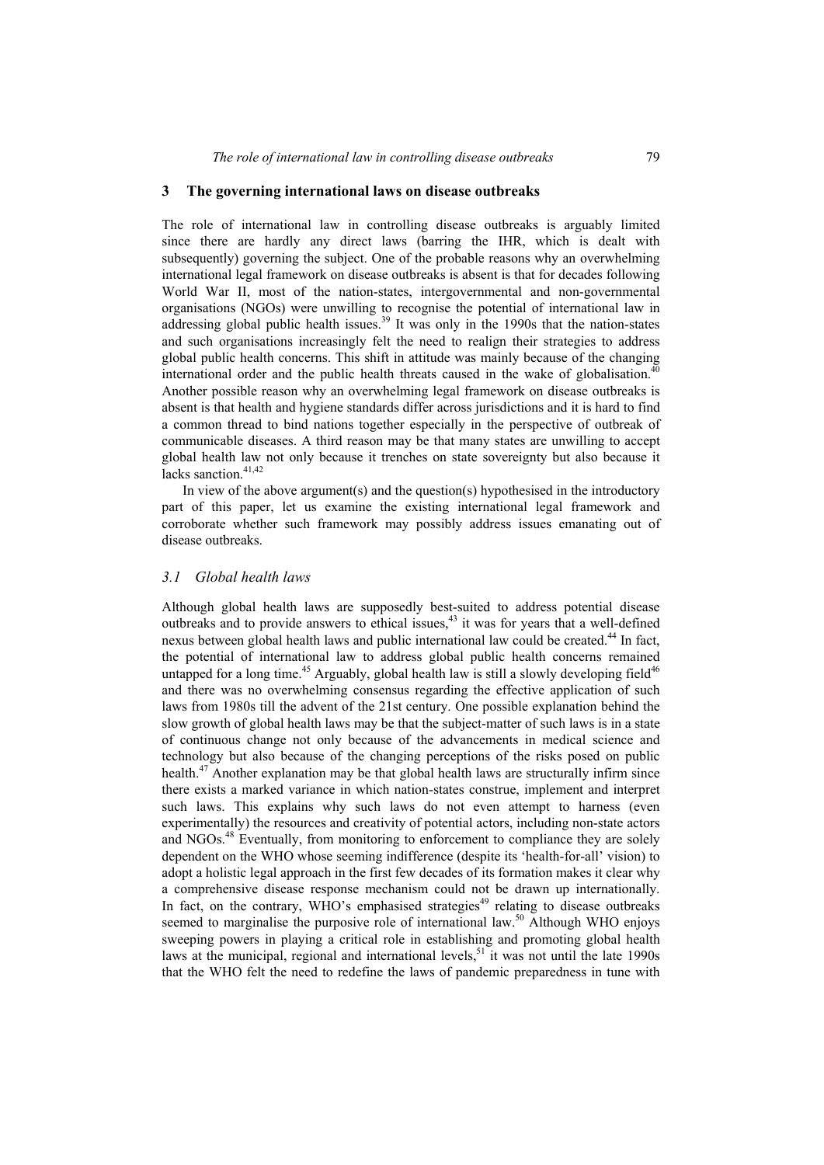#### **3 The governing international laws on disease outbreaks**

The role of international law in controlling disease outbreaks is arguably limited since there are hardly any direct laws (barring the IHR, which is dealt with subsequently) governing the subject. One of the probable reasons why an overwhelming international legal framework on disease outbreaks is absent is that for decades following World War II, most of the nation-states, intergovernmental and non-governmental organisations (NGOs) were unwilling to recognise the potential of international law in addressing global public health issues.<sup>39</sup> It was only in the 1990s that the nation-states and such organisations increasingly felt the need to realign their strategies to address global public health concerns. This shift in attitude was mainly because of the changing international order and the public health threats caused in the wake of globalisation.<sup>40</sup> Another possible reason why an overwhelming legal framework on disease outbreaks is absent is that health and hygiene standards differ across jurisdictions and it is hard to find a common thread to bind nations together especially in the perspective of outbreak of communicable diseases. A third reason may be that many states are unwilling to accept global health law not only because it trenches on state sovereignty but also because it lacks sanction.<sup>41,42</sup>

In view of the above argument(s) and the question(s) hypothesised in the introductory part of this paper, let us examine the existing international legal framework and corroborate whether such framework may possibly address issues emanating out of disease outbreaks.

#### *3.1 Global health laws*

Although global health laws are supposedly best-suited to address potential disease outbreaks and to provide answers to ethical issues, $43$  it was for years that a well-defined nexus between global health laws and public international law could be created.<sup>44</sup> In fact, the potential of international law to address global public health concerns remained untapped for a long time.<sup>45</sup> Arguably, global health law is still a slowly developing field<sup>46</sup> and there was no overwhelming consensus regarding the effective application of such laws from 1980s till the advent of the 21st century. One possible explanation behind the slow growth of global health laws may be that the subject-matter of such laws is in a state of continuous change not only because of the advancements in medical science and technology but also because of the changing perceptions of the risks posed on public health.<sup>47</sup> Another explanation may be that global health laws are structurally infirm since there exists a marked variance in which nation-states construe, implement and interpret such laws. This explains why such laws do not even attempt to harness (even experimentally) the resources and creativity of potential actors, including non-state actors and NGOs.48 Eventually, from monitoring to enforcement to compliance they are solely dependent on the WHO whose seeming indifference (despite its 'health-for-all' vision) to adopt a holistic legal approach in the first few decades of its formation makes it clear why a comprehensive disease response mechanism could not be drawn up internationally. In fact, on the contrary, WHO's emphasised strategies<sup>49</sup> relating to disease outbreaks seemed to marginalise the purposive role of international law.<sup>50</sup> Although WHO enjoys sweeping powers in playing a critical role in establishing and promoting global health laws at the municipal, regional and international levels,<sup>51</sup> it was not until the late 1990s that the WHO felt the need to redefine the laws of pandemic preparedness in tune with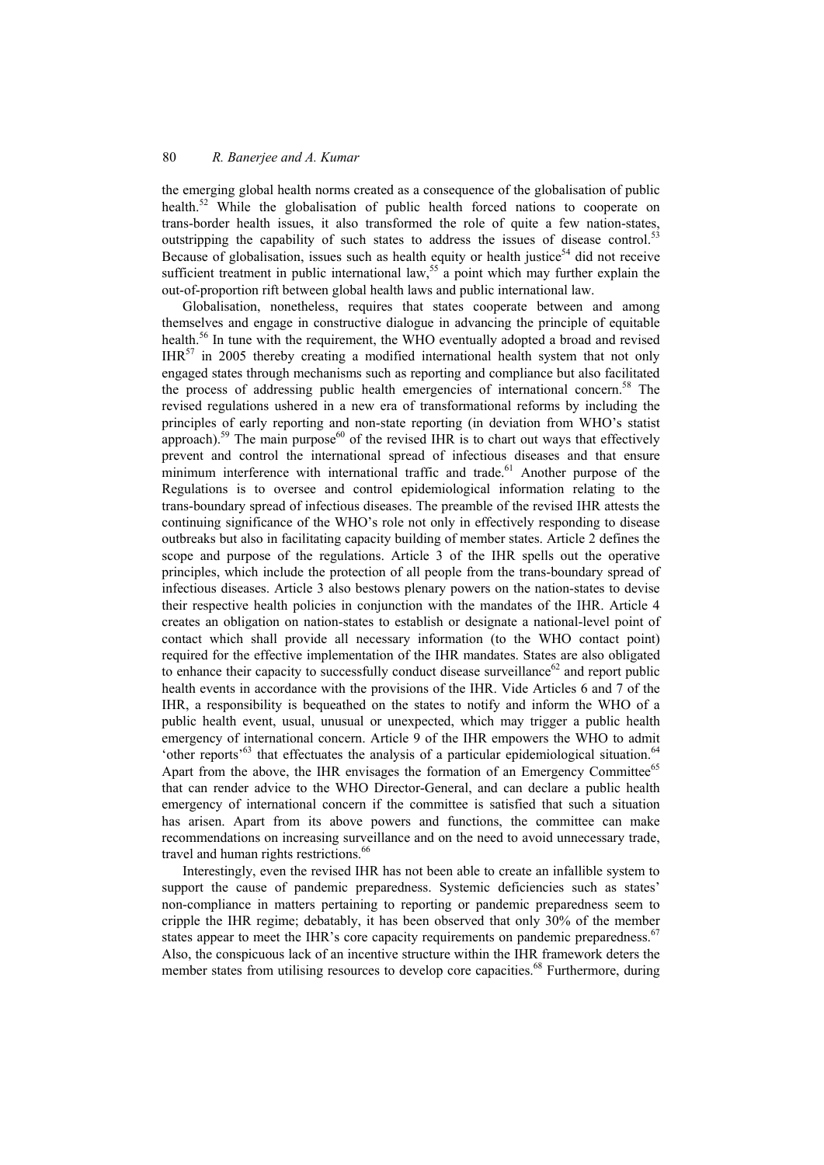the emerging global health norms created as a consequence of the globalisation of public health.<sup>52</sup> While the globalisation of public health forced nations to cooperate on trans-border health issues, it also transformed the role of quite a few nation-states, outstripping the capability of such states to address the issues of disease control.<sup>53</sup> Because of globalisation, issues such as health equity or health justice<sup>54</sup> did not receive sufficient treatment in public international law,<sup>55</sup> a point which may further explain the out-of-proportion rift between global health laws and public international law.

Globalisation, nonetheless, requires that states cooperate between and among themselves and engage in constructive dialogue in advancing the principle of equitable health.<sup>56</sup> In tune with the requirement, the WHO eventually adopted a broad and revised IHR57 in 2005 thereby creating a modified international health system that not only engaged states through mechanisms such as reporting and compliance but also facilitated the process of addressing public health emergencies of international concern.58 The revised regulations ushered in a new era of transformational reforms by including the principles of early reporting and non-state reporting (in deviation from WHO's statist approach).<sup>59</sup> The main purpose<sup>60</sup> of the revised IHR is to chart out ways that effectively prevent and control the international spread of infectious diseases and that ensure minimum interference with international traffic and trade.<sup>61</sup> Another purpose of the Regulations is to oversee and control epidemiological information relating to the trans-boundary spread of infectious diseases. The preamble of the revised IHR attests the continuing significance of the WHO's role not only in effectively responding to disease outbreaks but also in facilitating capacity building of member states. Article 2 defines the scope and purpose of the regulations. Article 3 of the IHR spells out the operative principles, which include the protection of all people from the trans-boundary spread of infectious diseases. Article 3 also bestows plenary powers on the nation-states to devise their respective health policies in conjunction with the mandates of the IHR. Article 4 creates an obligation on nation-states to establish or designate a national-level point of contact which shall provide all necessary information (to the WHO contact point) required for the effective implementation of the IHR mandates. States are also obligated to enhance their capacity to successfully conduct disease surveillance $62$  and report public health events in accordance with the provisions of the IHR. Vide Articles 6 and 7 of the IHR, a responsibility is bequeathed on the states to notify and inform the WHO of a public health event, usual, unusual or unexpected, which may trigger a public health emergency of international concern. Article 9 of the IHR empowers the WHO to admit 'other reports<sup> $63$ </sup> that effectuates the analysis of a particular epidemiological situation.<sup>64</sup> Apart from the above, the IHR envisages the formation of an Emergency Committee<sup>65</sup> that can render advice to the WHO Director-General, and can declare a public health emergency of international concern if the committee is satisfied that such a situation has arisen. Apart from its above powers and functions, the committee can make recommendations on increasing surveillance and on the need to avoid unnecessary trade, travel and human rights restrictions.<sup>66</sup>

Interestingly, even the revised IHR has not been able to create an infallible system to support the cause of pandemic preparedness. Systemic deficiencies such as states' non-compliance in matters pertaining to reporting or pandemic preparedness seem to cripple the IHR regime; debatably, it has been observed that only 30% of the member states appear to meet the IHR's core capacity requirements on pandemic preparedness.<sup>67</sup> Also, the conspicuous lack of an incentive structure within the IHR framework deters the member states from utilising resources to develop core capacities.<sup>68</sup> Furthermore, during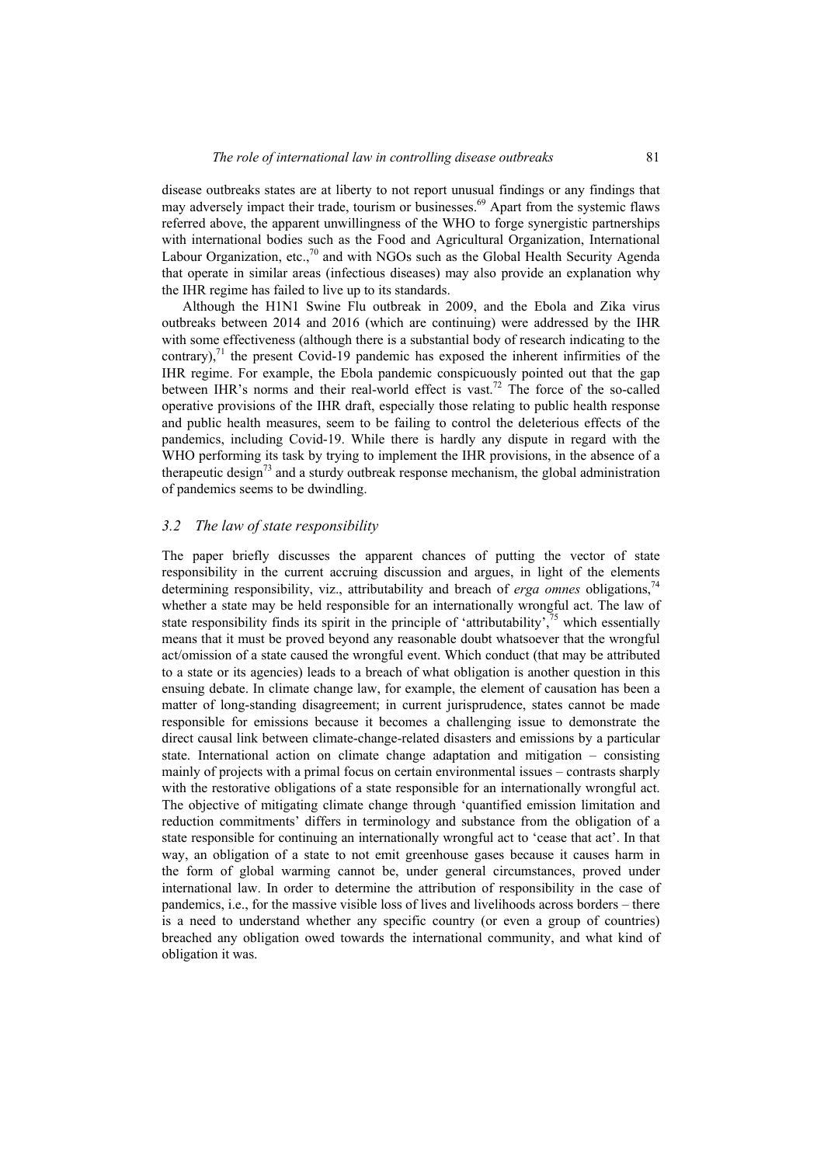disease outbreaks states are at liberty to not report unusual findings or any findings that may adversely impact their trade, tourism or businesses.<sup>69</sup> Apart from the systemic flaws referred above, the apparent unwillingness of the WHO to forge synergistic partnerships with international bodies such as the Food and Agricultural Organization, International Labour Organization, etc., $70$  and with NGOs such as the Global Health Security Agenda that operate in similar areas (infectious diseases) may also provide an explanation why the IHR regime has failed to live up to its standards.

Although the H1N1 Swine Flu outbreak in 2009, and the Ebola and Zika virus outbreaks between 2014 and 2016 (which are continuing) were addressed by the IHR with some effectiveness (although there is a substantial body of research indicating to the contrary), $71$  the present Covid-19 pandemic has exposed the inherent infirmities of the IHR regime. For example, the Ebola pandemic conspicuously pointed out that the gap between IHR's norms and their real-world effect is vast.<sup>72</sup> The force of the so-called operative provisions of the IHR draft, especially those relating to public health response and public health measures, seem to be failing to control the deleterious effects of the pandemics, including Covid-19. While there is hardly any dispute in regard with the WHO performing its task by trying to implement the IHR provisions, in the absence of a therapeutic design<sup>73</sup> and a sturdy outbreak response mechanism, the global administration of pandemics seems to be dwindling.

#### *3.2 The law of state responsibility*

The paper briefly discusses the apparent chances of putting the vector of state responsibility in the current accruing discussion and argues, in light of the elements determining responsibility, viz., attributability and breach of *erga omnes* obligations,<sup>74</sup> whether a state may be held responsible for an internationally wrongful act. The law of state responsibility finds its spirit in the principle of 'attributability',  $\frac{75}{15}$  which essentially means that it must be proved beyond any reasonable doubt whatsoever that the wrongful act/omission of a state caused the wrongful event. Which conduct (that may be attributed to a state or its agencies) leads to a breach of what obligation is another question in this ensuing debate. In climate change law, for example, the element of causation has been a matter of long-standing disagreement; in current jurisprudence, states cannot be made responsible for emissions because it becomes a challenging issue to demonstrate the direct causal link between climate-change-related disasters and emissions by a particular state. International action on climate change adaptation and mitigation – consisting mainly of projects with a primal focus on certain environmental issues – contrasts sharply with the restorative obligations of a state responsible for an internationally wrongful act. The objective of mitigating climate change through 'quantified emission limitation and reduction commitments' differs in terminology and substance from the obligation of a state responsible for continuing an internationally wrongful act to 'cease that act'. In that way, an obligation of a state to not emit greenhouse gases because it causes harm in the form of global warming cannot be, under general circumstances, proved under international law. In order to determine the attribution of responsibility in the case of pandemics, i.e., for the massive visible loss of lives and livelihoods across borders – there is a need to understand whether any specific country (or even a group of countries) breached any obligation owed towards the international community, and what kind of obligation it was.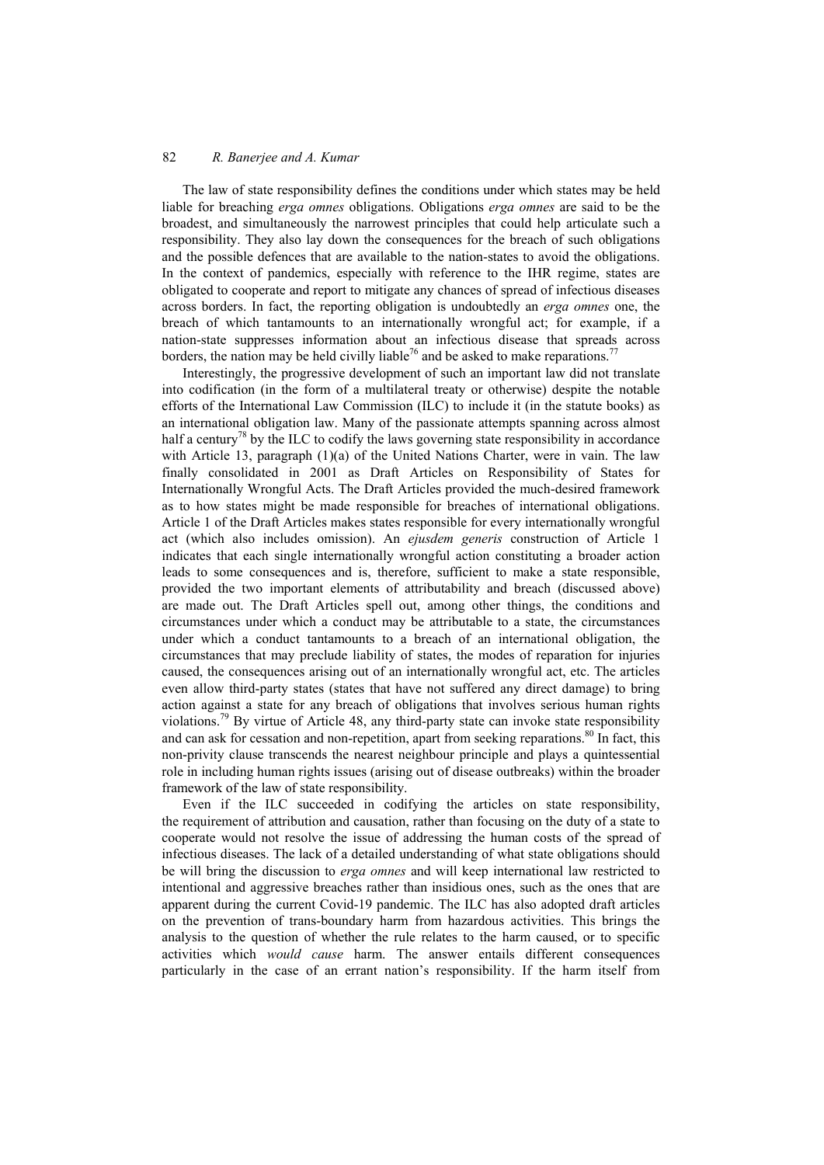The law of state responsibility defines the conditions under which states may be held liable for breaching *erga omnes* obligations. Obligations *erga omnes* are said to be the broadest, and simultaneously the narrowest principles that could help articulate such a responsibility. They also lay down the consequences for the breach of such obligations and the possible defences that are available to the nation-states to avoid the obligations. In the context of pandemics, especially with reference to the IHR regime, states are obligated to cooperate and report to mitigate any chances of spread of infectious diseases across borders. In fact, the reporting obligation is undoubtedly an *erga omnes* one, the breach of which tantamounts to an internationally wrongful act; for example, if a nation-state suppresses information about an infectious disease that spreads across borders, the nation may be held civilly liable<sup>76</sup> and be asked to make reparations.<sup>77</sup>

Interestingly, the progressive development of such an important law did not translate into codification (in the form of a multilateral treaty or otherwise) despite the notable efforts of the International Law Commission (ILC) to include it (in the statute books) as an international obligation law. Many of the passionate attempts spanning across almost half a century<sup>8</sup> by the ILC to codify the laws governing state responsibility in accordance with Article 13, paragraph (1)(a) of the United Nations Charter, were in vain. The law finally consolidated in 2001 as Draft Articles on Responsibility of States for Internationally Wrongful Acts. The Draft Articles provided the much-desired framework as to how states might be made responsible for breaches of international obligations. Article 1 of the Draft Articles makes states responsible for every internationally wrongful act (which also includes omission). An *ejusdem generis* construction of Article 1 indicates that each single internationally wrongful action constituting a broader action leads to some consequences and is, therefore, sufficient to make a state responsible, provided the two important elements of attributability and breach (discussed above) are made out. The Draft Articles spell out, among other things, the conditions and circumstances under which a conduct may be attributable to a state, the circumstances under which a conduct tantamounts to a breach of an international obligation, the circumstances that may preclude liability of states, the modes of reparation for injuries caused, the consequences arising out of an internationally wrongful act, etc. The articles even allow third-party states (states that have not suffered any direct damage) to bring action against a state for any breach of obligations that involves serious human rights violations.<sup>79</sup> By virtue of Article 48, any third-party state can invoke state responsibility and can ask for cessation and non-repetition, apart from seeking reparations.<sup>80</sup> In fact, this non-privity clause transcends the nearest neighbour principle and plays a quintessential role in including human rights issues (arising out of disease outbreaks) within the broader framework of the law of state responsibility.

Even if the ILC succeeded in codifying the articles on state responsibility, the requirement of attribution and causation, rather than focusing on the duty of a state to cooperate would not resolve the issue of addressing the human costs of the spread of infectious diseases. The lack of a detailed understanding of what state obligations should be will bring the discussion to *erga omnes* and will keep international law restricted to intentional and aggressive breaches rather than insidious ones, such as the ones that are apparent during the current Covid-19 pandemic. The ILC has also adopted draft articles on the prevention of trans-boundary harm from hazardous activities. This brings the analysis to the question of whether the rule relates to the harm caused, or to specific activities which *would cause* harm. The answer entails different consequences particularly in the case of an errant nation's responsibility. If the harm itself from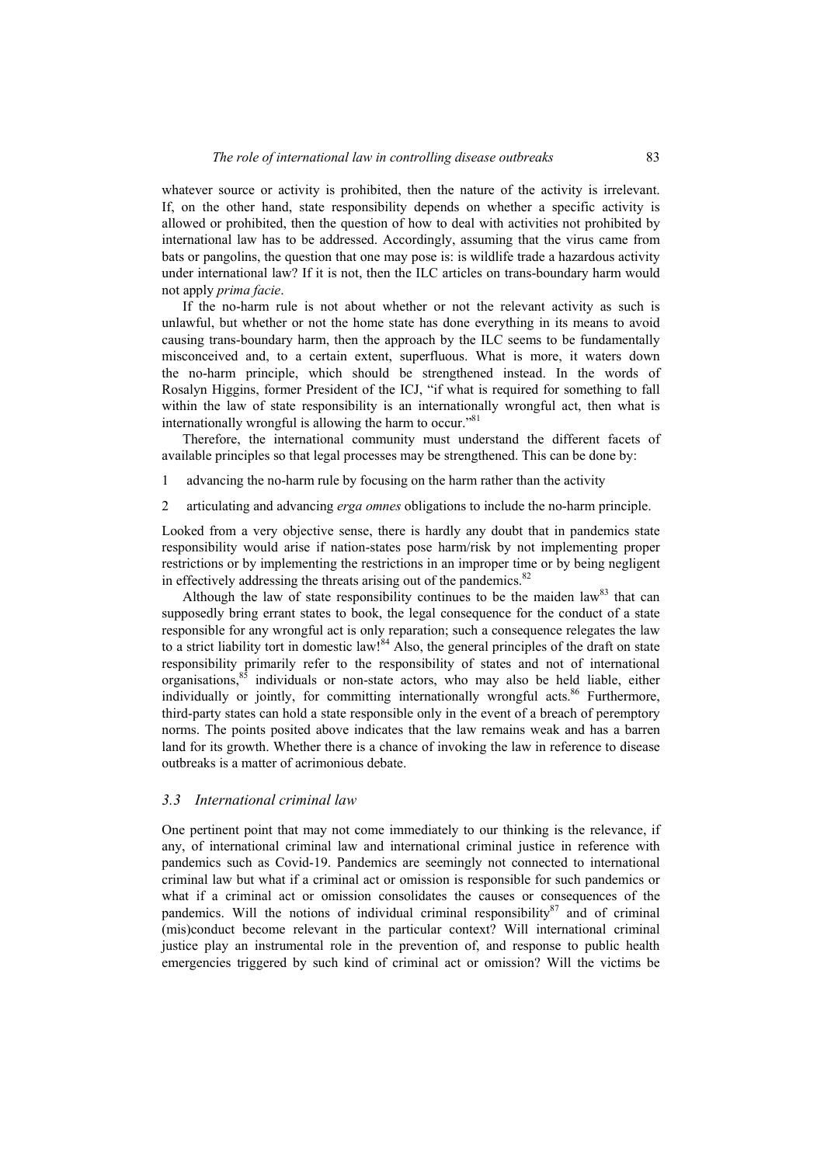whatever source or activity is prohibited, then the nature of the activity is irrelevant. If, on the other hand, state responsibility depends on whether a specific activity is allowed or prohibited, then the question of how to deal with activities not prohibited by international law has to be addressed. Accordingly, assuming that the virus came from bats or pangolins, the question that one may pose is: is wildlife trade a hazardous activity under international law? If it is not, then the ILC articles on trans-boundary harm would not apply *prima facie*.

If the no-harm rule is not about whether or not the relevant activity as such is unlawful, but whether or not the home state has done everything in its means to avoid causing trans-boundary harm, then the approach by the ILC seems to be fundamentally misconceived and, to a certain extent, superfluous. What is more, it waters down the no-harm principle, which should be strengthened instead. In the words of Rosalyn Higgins, former President of the ICJ, "if what is required for something to fall within the law of state responsibility is an internationally wrongful act, then what is internationally wrongful is allowing the harm to occur."<sup>81</sup>

Therefore, the international community must understand the different facets of available principles so that legal processes may be strengthened. This can be done by:

- 1 advancing the no-harm rule by focusing on the harm rather than the activity
- 2 articulating and advancing *erga omnes* obligations to include the no-harm principle.

Looked from a very objective sense, there is hardly any doubt that in pandemics state responsibility would arise if nation-states pose harm/risk by not implementing proper restrictions or by implementing the restrictions in an improper time or by being negligent in effectively addressing the threats arising out of the pandemics.<sup>82</sup>

Although the law of state responsibility continues to be the maiden law<sup>83</sup> that can supposedly bring errant states to book, the legal consequence for the conduct of a state responsible for any wrongful act is only reparation; such a consequence relegates the law to a strict liability tort in domestic law!<sup>84</sup> Also, the general principles of the draft on state responsibility primarily refer to the responsibility of states and not of international organisations,85 individuals or non-state actors, who may also be held liable, either individually or jointly, for committing internationally wrongful acts.<sup>86</sup> Furthermore, third-party states can hold a state responsible only in the event of a breach of peremptory norms. The points posited above indicates that the law remains weak and has a barren land for its growth. Whether there is a chance of invoking the law in reference to disease outbreaks is a matter of acrimonious debate.

#### *3.3 International criminal law*

One pertinent point that may not come immediately to our thinking is the relevance, if any, of international criminal law and international criminal justice in reference with pandemics such as Covid-19. Pandemics are seemingly not connected to international criminal law but what if a criminal act or omission is responsible for such pandemics or what if a criminal act or omission consolidates the causes or consequences of the pandemics. Will the notions of individual criminal responsibility $87$  and of criminal (mis)conduct become relevant in the particular context? Will international criminal justice play an instrumental role in the prevention of, and response to public health emergencies triggered by such kind of criminal act or omission? Will the victims be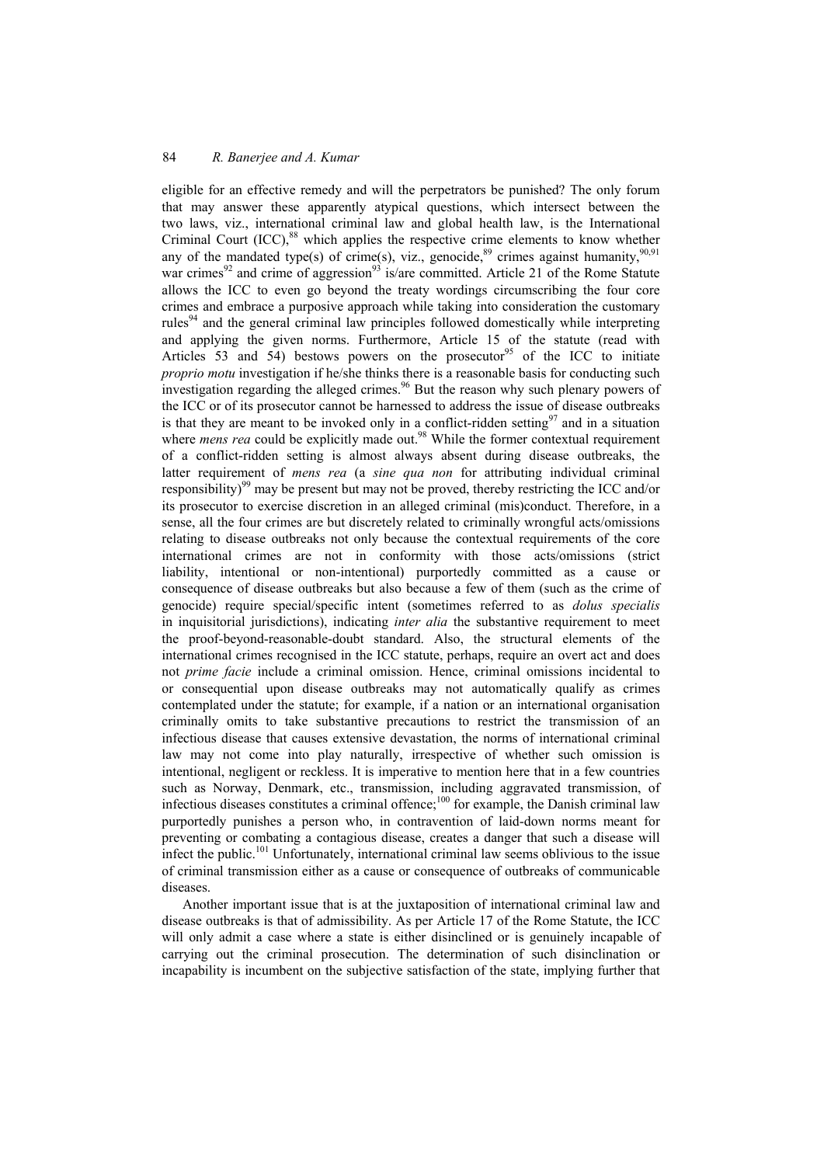eligible for an effective remedy and will the perpetrators be punished? The only forum that may answer these apparently atypical questions, which intersect between the two laws, viz., international criminal law and global health law, is the International Criminal Court  $(ICC)$ ,<sup>88</sup> which applies the respective crime elements to know whether any of the mandated type(s) of crime(s), viz., genocide,<sup>89</sup> crimes against humanity,<sup>90,91</sup> war crimes<sup>92</sup> and crime of aggression<sup>93</sup> is/are committed. Article 21 of the Rome Statute allows the ICC to even go beyond the treaty wordings circumscribing the four core crimes and embrace a purposive approach while taking into consideration the customary rules<sup>94</sup> and the general criminal law principles followed domestically while interpreting and applying the given norms. Furthermore, Article 15 of the statute (read with Articles 53 and 54) bestows powers on the prosecutor<sup>95</sup> of the ICC to initiate *proprio motu* investigation if he/she thinks there is a reasonable basis for conducting such investigation regarding the alleged crimes.<sup>96</sup> But the reason why such plenary powers of the ICC or of its prosecutor cannot be harnessed to address the issue of disease outbreaks is that they are meant to be invoked only in a conflict-ridden setting $97$  and in a situation where *mens rea* could be explicitly made out.<sup>98</sup> While the former contextual requirement of a conflict-ridden setting is almost always absent during disease outbreaks, the latter requirement of *mens rea* (a *sine qua non* for attributing individual criminal responsibility)<sup>99</sup> may be present but may not be proved, thereby restricting the ICC and/or its prosecutor to exercise discretion in an alleged criminal (mis)conduct. Therefore, in a sense, all the four crimes are but discretely related to criminally wrongful acts/omissions relating to disease outbreaks not only because the contextual requirements of the core international crimes are not in conformity with those acts/omissions (strict liability, intentional or non-intentional) purportedly committed as a cause or consequence of disease outbreaks but also because a few of them (such as the crime of genocide) require special/specific intent (sometimes referred to as *dolus specialis* in inquisitorial jurisdictions), indicating *inter alia* the substantive requirement to meet the proof-beyond-reasonable-doubt standard. Also, the structural elements of the international crimes recognised in the ICC statute, perhaps, require an overt act and does not *prime facie* include a criminal omission. Hence, criminal omissions incidental to or consequential upon disease outbreaks may not automatically qualify as crimes contemplated under the statute; for example, if a nation or an international organisation criminally omits to take substantive precautions to restrict the transmission of an infectious disease that causes extensive devastation, the norms of international criminal law may not come into play naturally, irrespective of whether such omission is intentional, negligent or reckless. It is imperative to mention here that in a few countries such as Norway, Denmark, etc., transmission, including aggravated transmission, of infectious diseases constitutes a criminal offence;<sup>100</sup> for example, the Danish criminal law purportedly punishes a person who, in contravention of laid-down norms meant for preventing or combating a contagious disease, creates a danger that such a disease will infect the public.<sup>101</sup> Unfortunately, international criminal law seems oblivious to the issue of criminal transmission either as a cause or consequence of outbreaks of communicable diseases.

Another important issue that is at the juxtaposition of international criminal law and disease outbreaks is that of admissibility. As per Article 17 of the Rome Statute, the ICC will only admit a case where a state is either disinclined or is genuinely incapable of carrying out the criminal prosecution. The determination of such disinclination or incapability is incumbent on the subjective satisfaction of the state, implying further that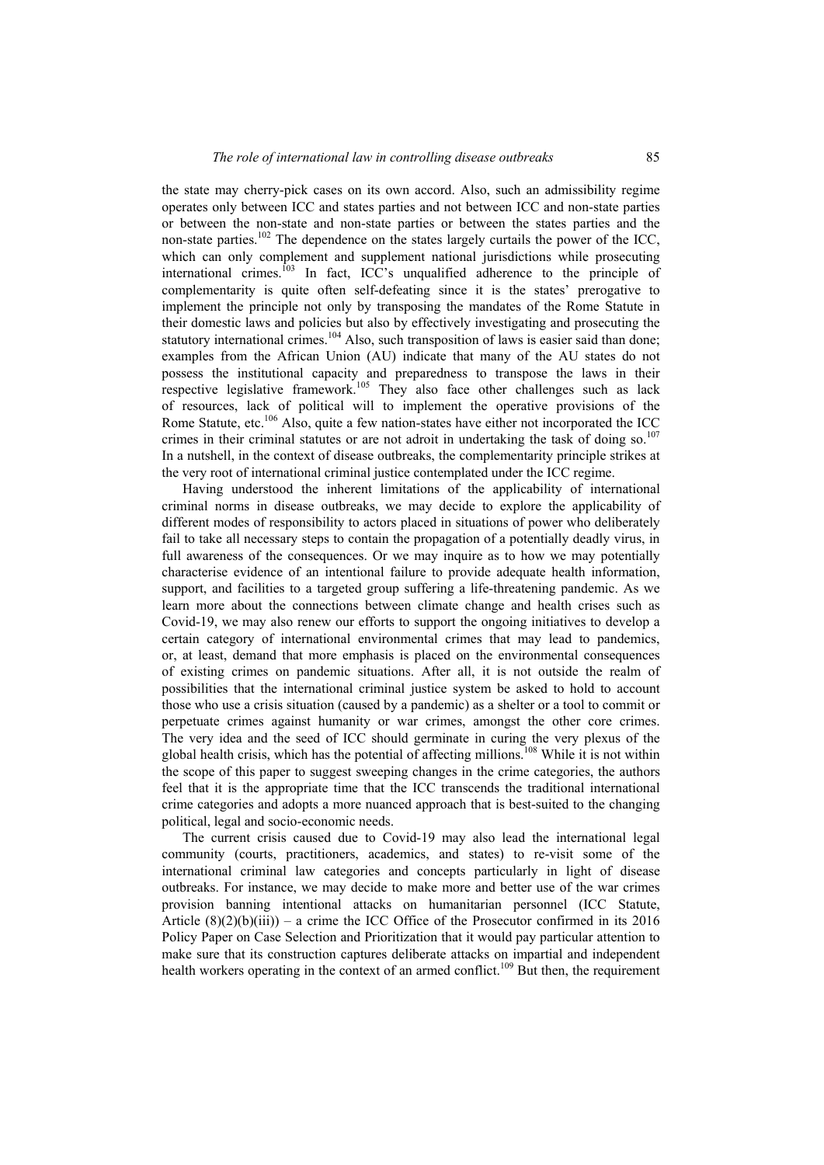the state may cherry-pick cases on its own accord. Also, such an admissibility regime operates only between ICC and states parties and not between ICC and non-state parties or between the non-state and non-state parties or between the states parties and the non-state parties.<sup>102</sup> The dependence on the states largely curtails the power of the ICC, which can only complement and supplement national jurisdictions while prosecuting international crimes.<sup>103</sup> In fact, ICC's unqualified adherence to the principle of complementarity is quite often self-defeating since it is the states' prerogative to implement the principle not only by transposing the mandates of the Rome Statute in their domestic laws and policies but also by effectively investigating and prosecuting the statutory international crimes.<sup>104</sup> Also, such transposition of laws is easier said than done; examples from the African Union (AU) indicate that many of the AU states do not possess the institutional capacity and preparedness to transpose the laws in their respective legislative framework.105 They also face other challenges such as lack of resources, lack of political will to implement the operative provisions of the Rome Statute, etc.<sup>106</sup> Also, quite a few nation-states have either not incorporated the ICC crimes in their criminal statutes or are not adroit in undertaking the task of doing so.<sup>107</sup> In a nutshell, in the context of disease outbreaks, the complementarity principle strikes at the very root of international criminal justice contemplated under the ICC regime.

Having understood the inherent limitations of the applicability of international criminal norms in disease outbreaks, we may decide to explore the applicability of different modes of responsibility to actors placed in situations of power who deliberately fail to take all necessary steps to contain the propagation of a potentially deadly virus, in full awareness of the consequences. Or we may inquire as to how we may potentially characterise evidence of an intentional failure to provide adequate health information, support, and facilities to a targeted group suffering a life-threatening pandemic. As we learn more about the connections between climate change and health crises such as Covid-19, we may also renew our efforts to support the ongoing initiatives to develop a certain category of international environmental crimes that may lead to pandemics, or, at least, demand that more emphasis is placed on the environmental consequences of existing crimes on pandemic situations. After all, it is not outside the realm of possibilities that the international criminal justice system be asked to hold to account those who use a crisis situation (caused by a pandemic) as a shelter or a tool to commit or perpetuate crimes against humanity or war crimes, amongst the other core crimes. The very idea and the seed of ICC should germinate in curing the very plexus of the global health crisis, which has the potential of affecting millions.<sup>108</sup> While it is not within the scope of this paper to suggest sweeping changes in the crime categories, the authors feel that it is the appropriate time that the ICC transcends the traditional international crime categories and adopts a more nuanced approach that is best-suited to the changing political, legal and socio-economic needs.

The current crisis caused due to Covid-19 may also lead the international legal community (courts, practitioners, academics, and states) to re-visit some of the international criminal law categories and concepts particularly in light of disease outbreaks. For instance, we may decide to make more and better use of the war crimes provision banning intentional attacks on humanitarian personnel (ICC Statute, Article  $(8)(2)(b)(iii)$  – a crime the ICC Office of the Prosecutor confirmed in its 2016 Policy Paper on Case Selection and Prioritization that it would pay particular attention to make sure that its construction captures deliberate attacks on impartial and independent health workers operating in the context of an armed conflict.<sup>109</sup> But then, the requirement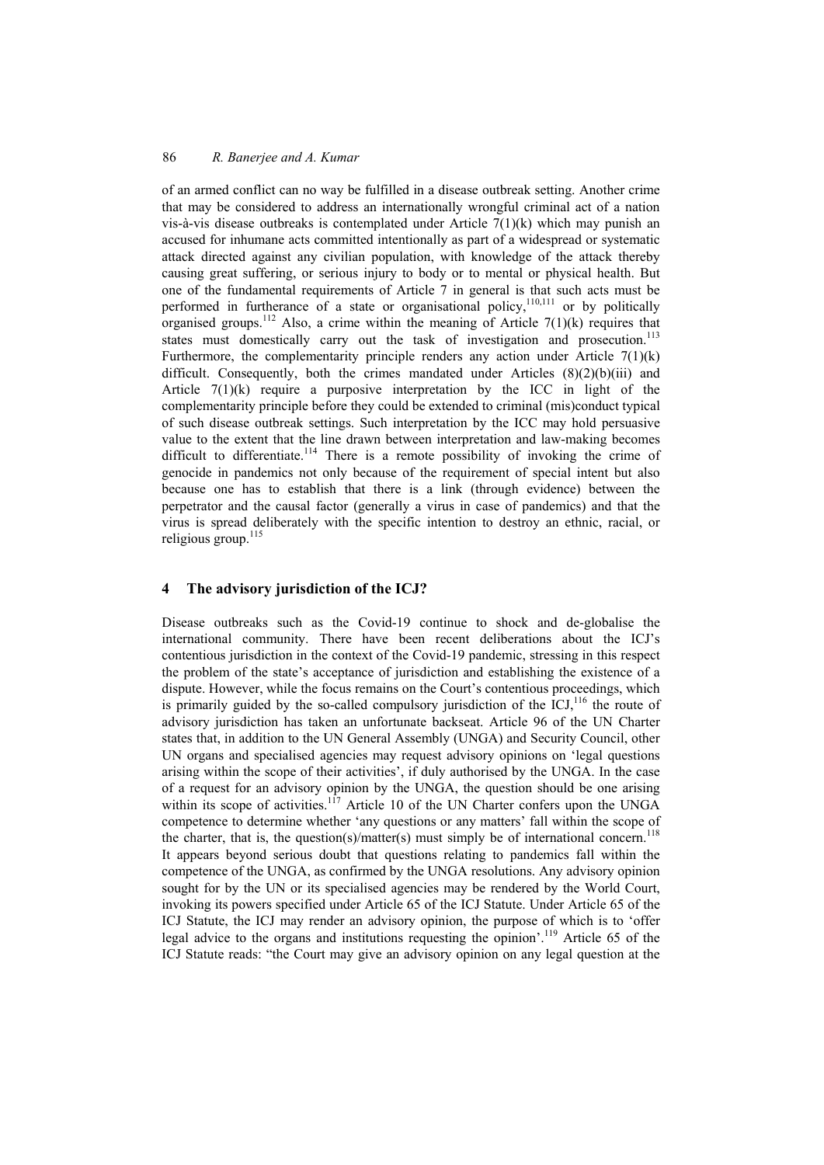of an armed conflict can no way be fulfilled in a disease outbreak setting. Another crime that may be considered to address an internationally wrongful criminal act of a nation vis-à-vis disease outbreaks is contemplated under Article  $7(1)(k)$  which may punish an accused for inhumane acts committed intentionally as part of a widespread or systematic attack directed against any civilian population, with knowledge of the attack thereby causing great suffering, or serious injury to body or to mental or physical health. But one of the fundamental requirements of Article 7 in general is that such acts must be performed in furtherance of a state or organisational policy,<sup>110,111</sup> or by politically organised groups.<sup>112</sup> Also, a crime within the meaning of Article 7(1)(k) requires that states must domestically carry out the task of investigation and prosecution.<sup>113</sup> Furthermore, the complementarity principle renders any action under Article  $7(1)(k)$ difficult. Consequently, both the crimes mandated under Articles (8)(2)(b)(iii) and Article 7(1)(k) require a purposive interpretation by the ICC in light of the complementarity principle before they could be extended to criminal (mis)conduct typical of such disease outbreak settings. Such interpretation by the ICC may hold persuasive value to the extent that the line drawn between interpretation and law-making becomes difficult to differentiate.<sup>114</sup> There is a remote possibility of invoking the crime of genocide in pandemics not only because of the requirement of special intent but also because one has to establish that there is a link (through evidence) between the perpetrator and the causal factor (generally a virus in case of pandemics) and that the virus is spread deliberately with the specific intention to destroy an ethnic, racial, or religious group. $^{115}$ 

### **4 The advisory jurisdiction of the ICJ?**

Disease outbreaks such as the Covid-19 continue to shock and de-globalise the international community. There have been recent deliberations about the ICJ's contentious jurisdiction in the context of the Covid-19 pandemic, stressing in this respect the problem of the state's acceptance of jurisdiction and establishing the existence of a dispute. However, while the focus remains on the Court's contentious proceedings, which is primarily guided by the so-called compulsory jurisdiction of the ICJ, $^{116}$  the route of advisory jurisdiction has taken an unfortunate backseat. Article 96 of the UN Charter states that, in addition to the UN General Assembly (UNGA) and Security Council, other UN organs and specialised agencies may request advisory opinions on 'legal questions arising within the scope of their activities', if duly authorised by the UNGA. In the case of a request for an advisory opinion by the UNGA, the question should be one arising within its scope of activities.<sup>117</sup> Article 10 of the UN Charter confers upon the UNGA competence to determine whether 'any questions or any matters' fall within the scope of the charter, that is, the question(s)/matter(s) must simply be of international concern.<sup>118</sup> It appears beyond serious doubt that questions relating to pandemics fall within the competence of the UNGA, as confirmed by the UNGA resolutions. Any advisory opinion sought for by the UN or its specialised agencies may be rendered by the World Court, invoking its powers specified under Article 65 of the ICJ Statute. Under Article 65 of the ICJ Statute, the ICJ may render an advisory opinion, the purpose of which is to 'offer legal advice to the organs and institutions requesting the opinion'.119 Article 65 of the ICJ Statute reads: "the Court may give an advisory opinion on any legal question at the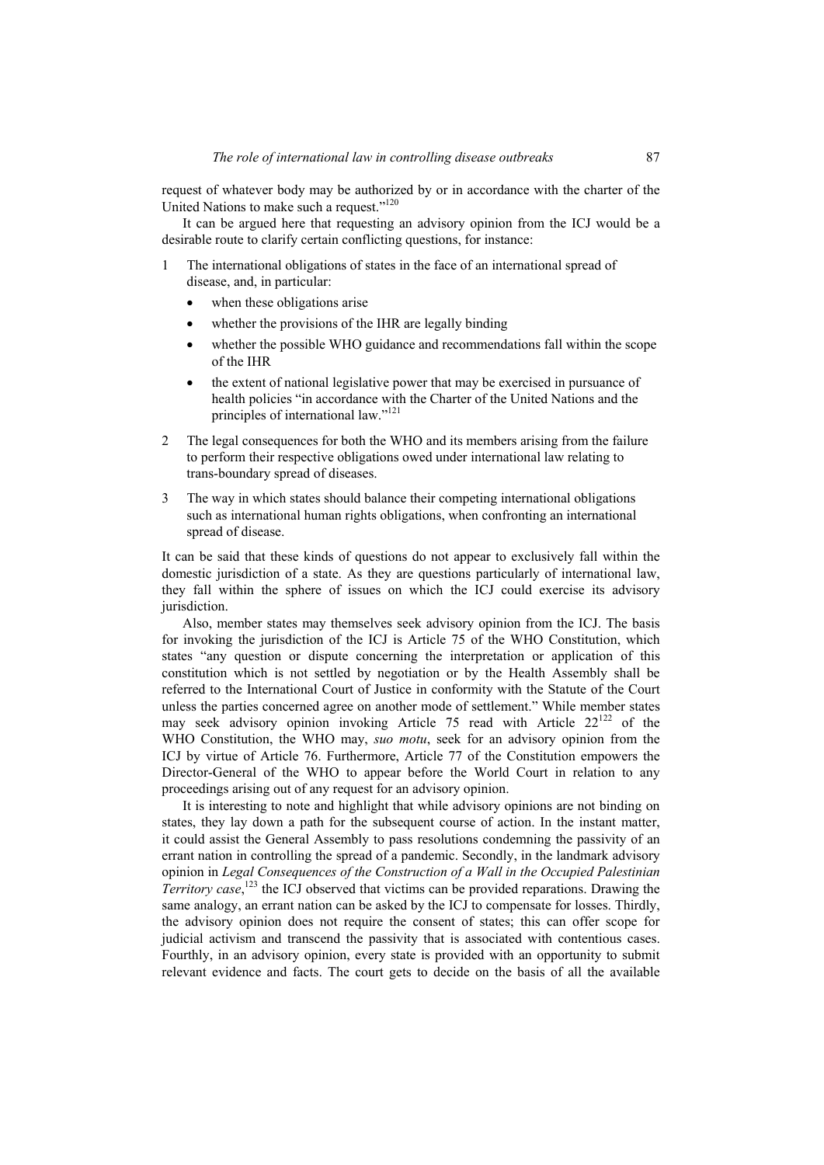request of whatever body may be authorized by or in accordance with the charter of the United Nations to make such a request."<sup>120</sup>

It can be argued here that requesting an advisory opinion from the ICJ would be a desirable route to clarify certain conflicting questions, for instance:

- 1 The international obligations of states in the face of an international spread of disease, and, in particular:
	- when these obligations arise
	- whether the provisions of the IHR are legally binding
	- whether the possible WHO guidance and recommendations fall within the scope of the IHR
	- the extent of national legislative power that may be exercised in pursuance of health policies "in accordance with the Charter of the United Nations and the principles of international law."<sup>121</sup>
- 2 The legal consequences for both the WHO and its members arising from the failure to perform their respective obligations owed under international law relating to trans-boundary spread of diseases.
- 3 The way in which states should balance their competing international obligations such as international human rights obligations, when confronting an international spread of disease.

It can be said that these kinds of questions do not appear to exclusively fall within the domestic jurisdiction of a state. As they are questions particularly of international law, they fall within the sphere of issues on which the ICJ could exercise its advisory jurisdiction.

Also, member states may themselves seek advisory opinion from the ICJ. The basis for invoking the jurisdiction of the ICJ is Article 75 of the WHO Constitution, which states "any question or dispute concerning the interpretation or application of this constitution which is not settled by negotiation or by the Health Assembly shall be referred to the International Court of Justice in conformity with the Statute of the Court unless the parties concerned agree on another mode of settlement." While member states may seek advisory opinion invoking Article 75 read with Article  $22^{122}$  of the WHO Constitution, the WHO may, *suo motu*, seek for an advisory opinion from the ICJ by virtue of Article 76. Furthermore, Article 77 of the Constitution empowers the Director-General of the WHO to appear before the World Court in relation to any proceedings arising out of any request for an advisory opinion.

It is interesting to note and highlight that while advisory opinions are not binding on states, they lay down a path for the subsequent course of action. In the instant matter, it could assist the General Assembly to pass resolutions condemning the passivity of an errant nation in controlling the spread of a pandemic. Secondly, in the landmark advisory opinion in *Legal Consequences of the Construction of a Wall in the Occupied Palestinian Territory case*, 123 the ICJ observed that victims can be provided reparations. Drawing the same analogy, an errant nation can be asked by the ICJ to compensate for losses. Thirdly, the advisory opinion does not require the consent of states; this can offer scope for judicial activism and transcend the passivity that is associated with contentious cases. Fourthly, in an advisory opinion, every state is provided with an opportunity to submit relevant evidence and facts. The court gets to decide on the basis of all the available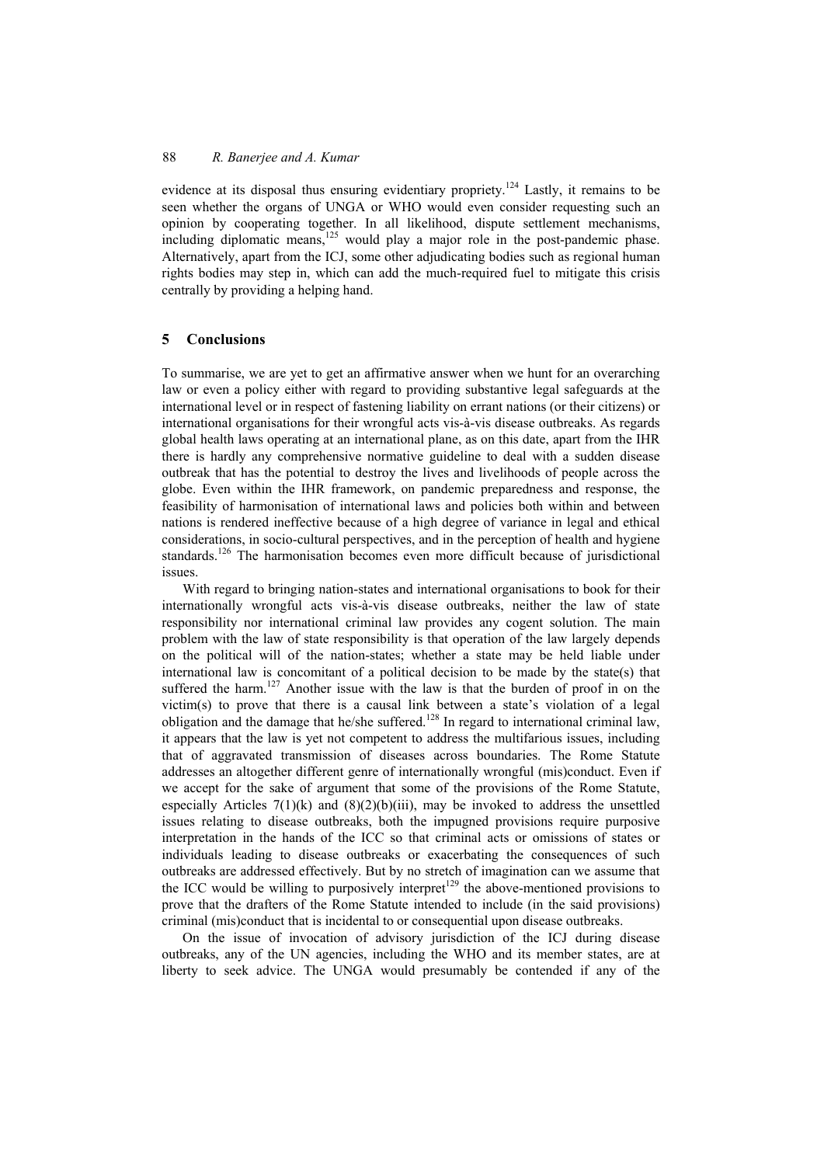evidence at its disposal thus ensuring evidentiary propriety.<sup>124</sup> Lastly, it remains to be seen whether the organs of UNGA or WHO would even consider requesting such an opinion by cooperating together. In all likelihood, dispute settlement mechanisms, including diplomatic means, $125$  would play a major role in the post-pandemic phase. Alternatively, apart from the ICJ, some other adjudicating bodies such as regional human rights bodies may step in, which can add the much-required fuel to mitigate this crisis centrally by providing a helping hand.

#### **5 Conclusions**

To summarise, we are yet to get an affirmative answer when we hunt for an overarching law or even a policy either with regard to providing substantive legal safeguards at the international level or in respect of fastening liability on errant nations (or their citizens) or international organisations for their wrongful acts vis-à-vis disease outbreaks. As regards global health laws operating at an international plane, as on this date, apart from the IHR there is hardly any comprehensive normative guideline to deal with a sudden disease outbreak that has the potential to destroy the lives and livelihoods of people across the globe. Even within the IHR framework, on pandemic preparedness and response, the feasibility of harmonisation of international laws and policies both within and between nations is rendered ineffective because of a high degree of variance in legal and ethical considerations, in socio-cultural perspectives, and in the perception of health and hygiene standards.<sup>126</sup> The harmonisation becomes even more difficult because of jurisdictional issues.

With regard to bringing nation-states and international organisations to book for their internationally wrongful acts vis-à-vis disease outbreaks, neither the law of state responsibility nor international criminal law provides any cogent solution. The main problem with the law of state responsibility is that operation of the law largely depends on the political will of the nation-states; whether a state may be held liable under international law is concomitant of a political decision to be made by the state(s) that suffered the harm.<sup>127</sup> Another issue with the law is that the burden of proof in on the victim(s) to prove that there is a causal link between a state's violation of a legal obligation and the damage that he/she suffered.128 In regard to international criminal law, it appears that the law is yet not competent to address the multifarious issues, including that of aggravated transmission of diseases across boundaries. The Rome Statute addresses an altogether different genre of internationally wrongful (mis)conduct. Even if we accept for the sake of argument that some of the provisions of the Rome Statute, especially Articles  $7(1)(k)$  and  $(8)(2)(b)(iii)$ , may be invoked to address the unsettled issues relating to disease outbreaks, both the impugned provisions require purposive interpretation in the hands of the ICC so that criminal acts or omissions of states or individuals leading to disease outbreaks or exacerbating the consequences of such outbreaks are addressed effectively. But by no stretch of imagination can we assume that the ICC would be willing to purposively interpret<sup>129</sup> the above-mentioned provisions to prove that the drafters of the Rome Statute intended to include (in the said provisions) criminal (mis)conduct that is incidental to or consequential upon disease outbreaks.

On the issue of invocation of advisory jurisdiction of the ICJ during disease outbreaks, any of the UN agencies, including the WHO and its member states, are at liberty to seek advice. The UNGA would presumably be contended if any of the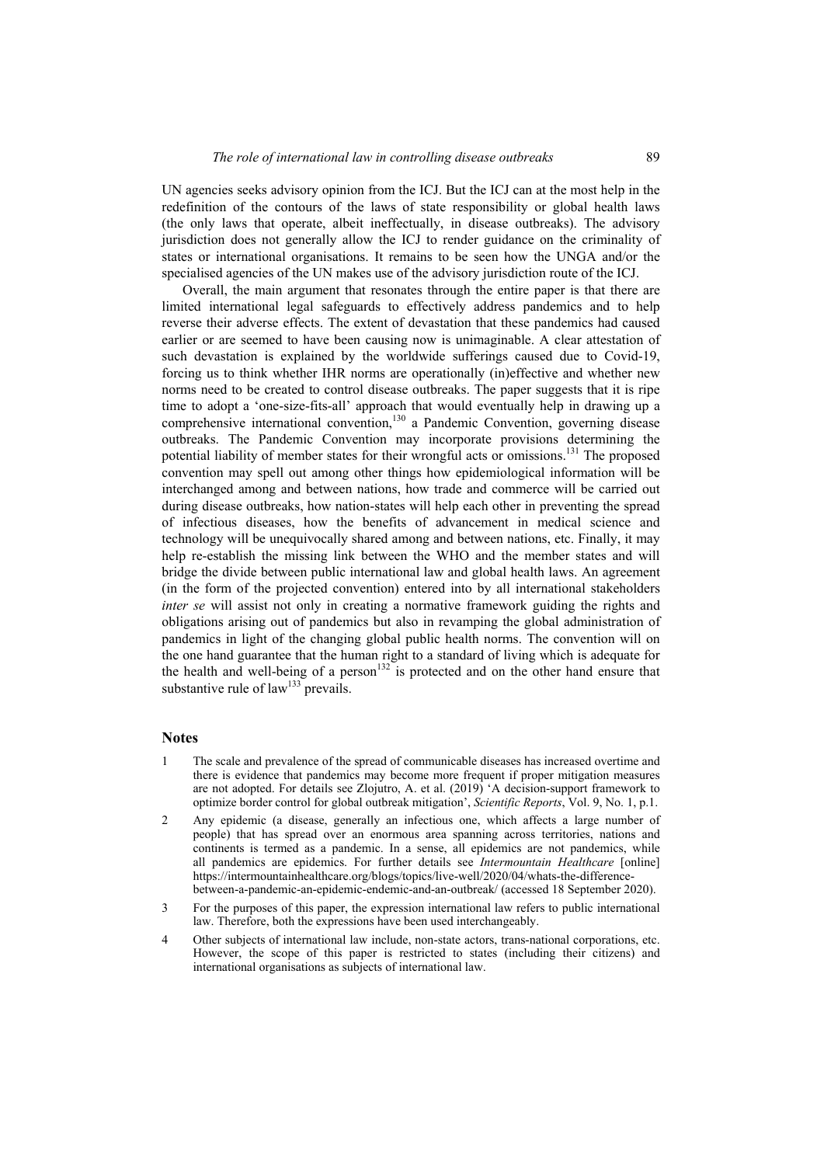UN agencies seeks advisory opinion from the ICJ. But the ICJ can at the most help in the redefinition of the contours of the laws of state responsibility or global health laws (the only laws that operate, albeit ineffectually, in disease outbreaks). The advisory jurisdiction does not generally allow the ICJ to render guidance on the criminality of states or international organisations. It remains to be seen how the UNGA and/or the specialised agencies of the UN makes use of the advisory jurisdiction route of the ICJ.

Overall, the main argument that resonates through the entire paper is that there are limited international legal safeguards to effectively address pandemics and to help reverse their adverse effects. The extent of devastation that these pandemics had caused earlier or are seemed to have been causing now is unimaginable. A clear attestation of such devastation is explained by the worldwide sufferings caused due to Covid-19, forcing us to think whether IHR norms are operationally (in)effective and whether new norms need to be created to control disease outbreaks. The paper suggests that it is ripe time to adopt a 'one-size-fits-all' approach that would eventually help in drawing up a comprehensive international convention,<sup>130</sup> a Pandemic Convention, governing disease outbreaks. The Pandemic Convention may incorporate provisions determining the potential liability of member states for their wrongful acts or omissions.<sup>131</sup> The proposed convention may spell out among other things how epidemiological information will be interchanged among and between nations, how trade and commerce will be carried out during disease outbreaks, how nation-states will help each other in preventing the spread of infectious diseases, how the benefits of advancement in medical science and technology will be unequivocally shared among and between nations, etc. Finally, it may help re-establish the missing link between the WHO and the member states and will bridge the divide between public international law and global health laws. An agreement (in the form of the projected convention) entered into by all international stakeholders *inter se* will assist not only in creating a normative framework guiding the rights and obligations arising out of pandemics but also in revamping the global administration of pandemics in light of the changing global public health norms. The convention will on the one hand guarantee that the human right to a standard of living which is adequate for the health and well-being of a person<sup>132</sup> is protected and on the other hand ensure that substantive rule of  $law^{133}$  prevails.

#### **Notes**

- 1 The scale and prevalence of the spread of communicable diseases has increased overtime and there is evidence that pandemics may become more frequent if proper mitigation measures are not adopted. For details see Zlojutro, A. et al. (2019) 'A decision-support framework to optimize border control for global outbreak mitigation', *Scientific Reports*, Vol. 9, No. 1, p.1.
- 2 Any epidemic (a disease, generally an infectious one, which affects a large number of people) that has spread over an enormous area spanning across territories, nations and continents is termed as a pandemic. In a sense, all epidemics are not pandemics, while all pandemics are epidemics. For further details see *Intermountain Healthcare* [online] https://intermountainhealthcare.org/blogs/topics/live-well/2020/04/whats-the-differencebetween-a-pandemic-an-epidemic-endemic-and-an-outbreak/ (accessed 18 September 2020).
- 3 For the purposes of this paper, the expression international law refers to public international law. Therefore, both the expressions have been used interchangeably.
- 4 Other subjects of international law include, non-state actors, trans-national corporations, etc. However, the scope of this paper is restricted to states (including their citizens) and international organisations as subjects of international law.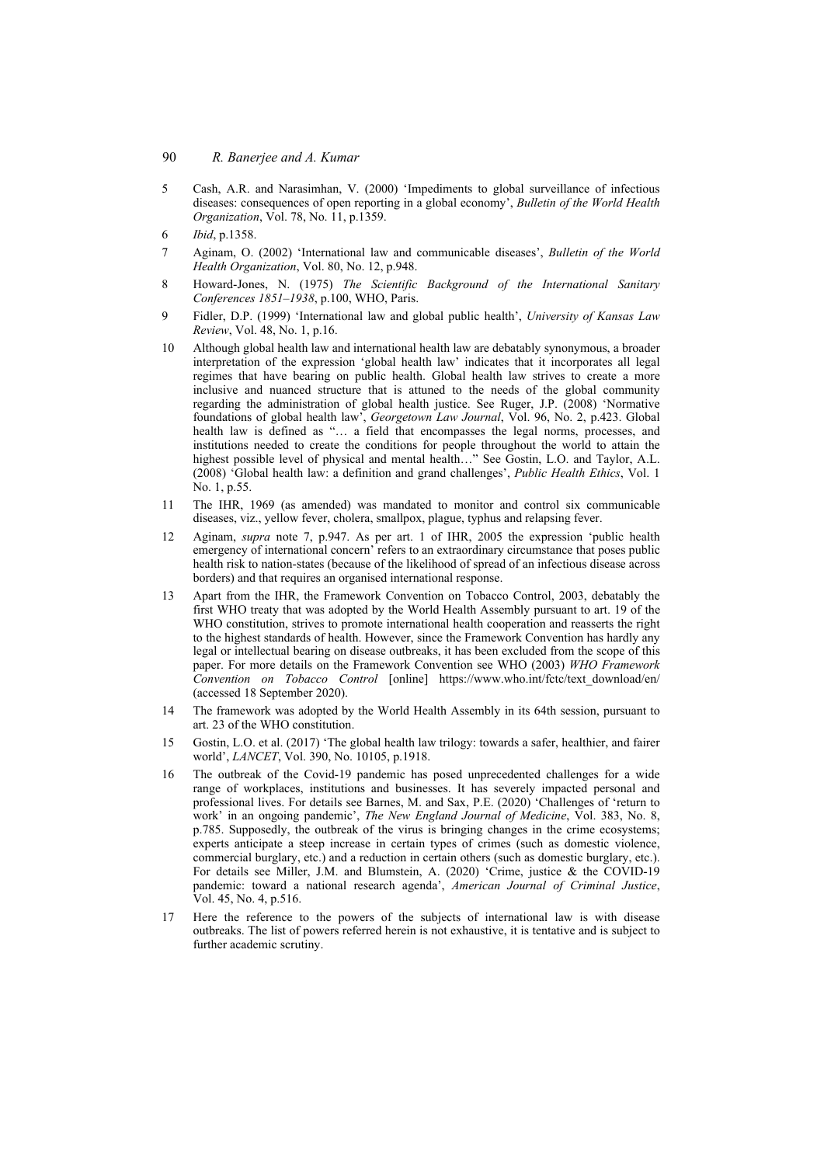- 5 Cash, A.R. and Narasimhan, V. (2000) 'Impediments to global surveillance of infectious diseases: consequences of open reporting in a global economy', *Bulletin of the World Health Organization*, Vol. 78, No. 11, p.1359.
- 6 *Ibid*, p.1358.
- 7 Aginam, O. (2002) 'International law and communicable diseases', *Bulletin of the World Health Organization*, Vol. 80, No. 12, p.948.
- 8 Howard-Jones, N. (1975) *The Scientific Background of the International Sanitary Conferences 1851–1938*, p.100, WHO, Paris.
- 9 Fidler, D.P. (1999) 'International law and global public health', *University of Kansas Law Review*, Vol. 48, No. 1, p.16.
- 10 Although global health law and international health law are debatably synonymous, a broader interpretation of the expression 'global health law' indicates that it incorporates all legal regimes that have bearing on public health. Global health law strives to create a more inclusive and nuanced structure that is attuned to the needs of the global community regarding the administration of global health justice. See Ruger, J.P. (2008) 'Normative foundations of global health law', *Georgetown Law Journal*, Vol. 96, No. 2, p.423. Global health law is defined as "… a field that encompasses the legal norms, processes, and institutions needed to create the conditions for people throughout the world to attain the highest possible level of physical and mental health…" See Gostin, L.O. and Taylor, A.L. (2008) 'Global health law: a definition and grand challenges', *Public Health Ethics*, Vol. 1 No. 1, p.55.
- 11 The IHR, 1969 (as amended) was mandated to monitor and control six communicable diseases, viz., yellow fever, cholera, smallpox, plague, typhus and relapsing fever.
- 12 Aginam, *supra* note 7, p.947. As per art. 1 of IHR, 2005 the expression 'public health emergency of international concern' refers to an extraordinary circumstance that poses public health risk to nation-states (because of the likelihood of spread of an infectious disease across borders) and that requires an organised international response.
- 13 Apart from the IHR, the Framework Convention on Tobacco Control, 2003, debatably the first WHO treaty that was adopted by the World Health Assembly pursuant to art. 19 of the WHO constitution, strives to promote international health cooperation and reasserts the right to the highest standards of health. However, since the Framework Convention has hardly any legal or intellectual bearing on disease outbreaks, it has been excluded from the scope of this paper. For more details on the Framework Convention see WHO (2003) *WHO Framework Convention on Tobacco Control* [online] https://www.who.int/fctc/text\_download/en/ (accessed 18 September 2020).
- 14 The framework was adopted by the World Health Assembly in its 64th session, pursuant to art. 23 of the WHO constitution.
- 15 Gostin, L.O. et al. (2017) 'The global health law trilogy: towards a safer, healthier, and fairer world', *LANCET*, Vol. 390, No. 10105, p.1918.
- 16 The outbreak of the Covid-19 pandemic has posed unprecedented challenges for a wide range of workplaces, institutions and businesses. It has severely impacted personal and professional lives. For details see Barnes, M. and Sax, P.E. (2020) 'Challenges of 'return to work' in an ongoing pandemic', *The New England Journal of Medicine*, Vol. 383, No. 8, p.785. Supposedly, the outbreak of the virus is bringing changes in the crime ecosystems; experts anticipate a steep increase in certain types of crimes (such as domestic violence, commercial burglary, etc.) and a reduction in certain others (such as domestic burglary, etc.). For details see Miller, J.M. and Blumstein, A. (2020) 'Crime, justice & the COVID-19 pandemic: toward a national research agenda', *American Journal of Criminal Justice*, Vol. 45, No. 4, p.516.
- 17 Here the reference to the powers of the subjects of international law is with disease outbreaks. The list of powers referred herein is not exhaustive, it is tentative and is subject to further academic scrutiny.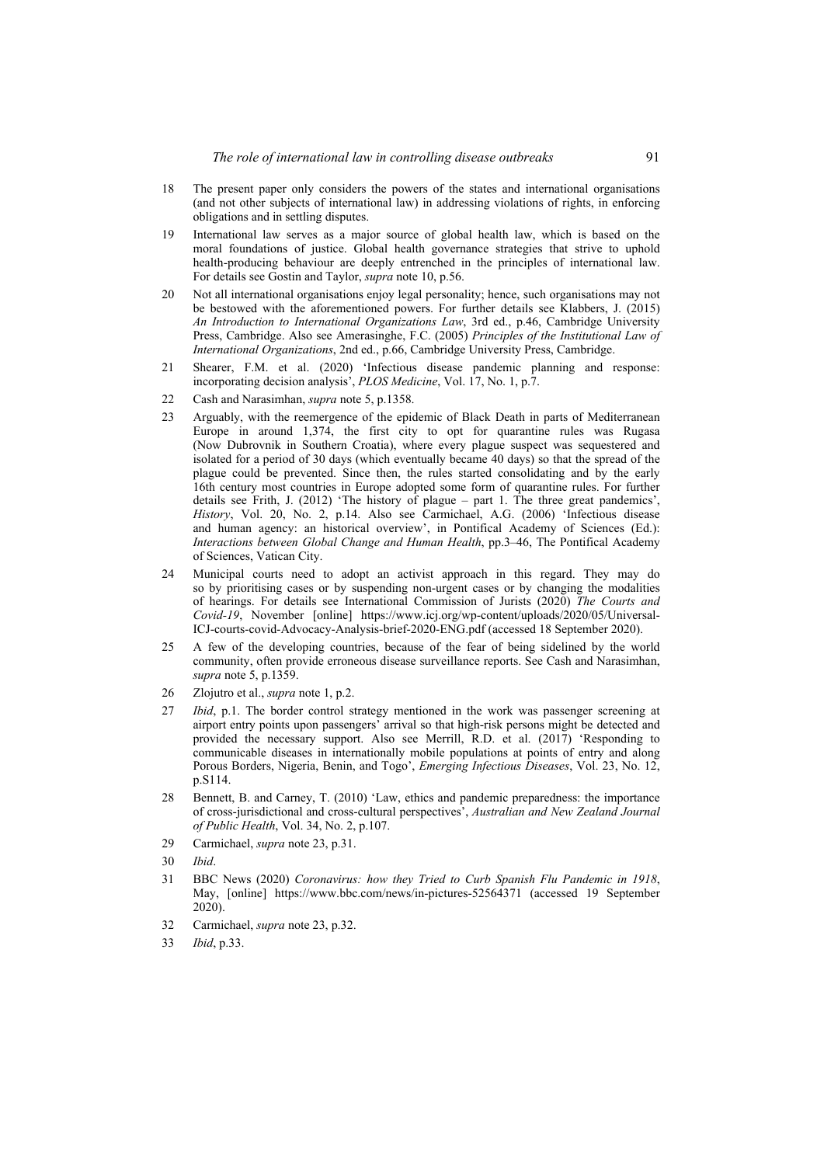- 18 The present paper only considers the powers of the states and international organisations (and not other subjects of international law) in addressing violations of rights, in enforcing obligations and in settling disputes.
- 19 International law serves as a major source of global health law, which is based on the moral foundations of justice. Global health governance strategies that strive to uphold health-producing behaviour are deeply entrenched in the principles of international law. For details see Gostin and Taylor, *supra* note 10, p.56.
- 20 Not all international organisations enjoy legal personality; hence, such organisations may not be bestowed with the aforementioned powers. For further details see Klabbers, J. (2015) *An Introduction to International Organizations Law*, 3rd ed., p.46, Cambridge University Press, Cambridge. Also see Amerasinghe, F.C. (2005) *Principles of the Institutional Law of International Organizations*, 2nd ed., p.66, Cambridge University Press, Cambridge.
- 21 Shearer, F.M. et al. (2020) 'Infectious disease pandemic planning and response: incorporating decision analysis', *PLOS Medicine*, Vol. 17, No. 1, p.7.
- 22 Cash and Narasimhan, *supra* note 5, p.1358.
- 23 Arguably, with the reemergence of the epidemic of Black Death in parts of Mediterranean Europe in around 1,374, the first city to opt for quarantine rules was Rugasa (Now Dubrovnik in Southern Croatia), where every plague suspect was sequestered and isolated for a period of 30 days (which eventually became 40 days) so that the spread of the plague could be prevented. Since then, the rules started consolidating and by the early 16th century most countries in Europe adopted some form of quarantine rules. For further details see Frith, J. (2012) 'The history of plague – part 1. The three great pandemics', *History*, Vol. 20, No. 2, p.14. Also see Carmichael, A.G. (2006) 'Infectious disease and human agency: an historical overview', in Pontifical Academy of Sciences (Ed.): *Interactions between Global Change and Human Health*, pp.3–46, The Pontifical Academy of Sciences, Vatican City.
- 24 Municipal courts need to adopt an activist approach in this regard. They may do so by prioritising cases or by suspending non-urgent cases or by changing the modalities of hearings. For details see International Commission of Jurists (2020) *The Courts and Covid-19*, November [online] https://www.icj.org/wp-content/uploads/2020/05/Universal-ICJ-courts-covid-Advocacy-Analysis-brief-2020-ENG.pdf (accessed 18 September 2020).
- 25 A few of the developing countries, because of the fear of being sidelined by the world community, often provide erroneous disease surveillance reports. See Cash and Narasimhan, *supra* note 5, p.1359.
- 26 Zlojutro et al., *supra* note 1, p.2.
- 27 *Ibid*, p.1. The border control strategy mentioned in the work was passenger screening at airport entry points upon passengers' arrival so that high-risk persons might be detected and provided the necessary support. Also see Merrill, R.D. et al. (2017) 'Responding to communicable diseases in internationally mobile populations at points of entry and along Porous Borders, Nigeria, Benin, and Togo', *Emerging Infectious Diseases*, Vol. 23, No. 12, p.S114.
- 28 Bennett, B. and Carney, T. (2010) 'Law, ethics and pandemic preparedness: the importance of cross-jurisdictional and cross-cultural perspectives', *Australian and New Zealand Journal of Public Health*, Vol. 34, No. 2, p.107.
- 29 Carmichael, *supra* note 23, p.31.
- 30 *Ibid*.
- 31 BBC News (2020) *Coronavirus: how they Tried to Curb Spanish Flu Pandemic in 1918*, May, [online] https://www.bbc.com/news/in-pictures-52564371 (accessed 19 September 2020).
- 32 Carmichael, *supra* note 23, p.32.
- 33 *Ibid*, p.33.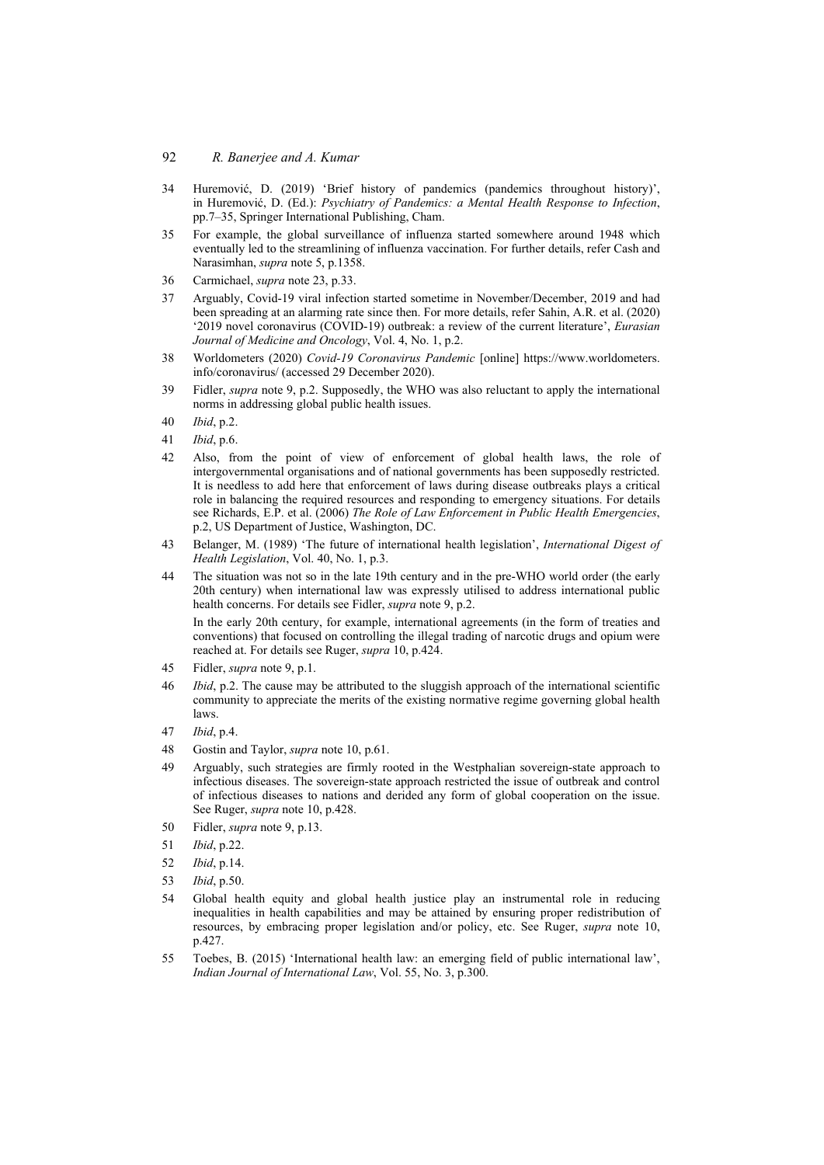#### 92 *R. Banerjee and A. Kumar*

- 34 Huremović, D. (2019) 'Brief history of pandemics (pandemics throughout history)', in Huremović, D. (Ed.): *Psychiatry of Pandemics: a Mental Health Response to Infection*, pp.7–35, Springer International Publishing, Cham.
- 35 For example, the global surveillance of influenza started somewhere around 1948 which eventually led to the streamlining of influenza vaccination. For further details, refer Cash and Narasimhan, *supra* note 5, p.1358.
- 36 Carmichael, *supra* note 23, p.33.
- 37 Arguably, Covid-19 viral infection started sometime in November/December, 2019 and had been spreading at an alarming rate since then. For more details, refer Sahin, A.R. et al. (2020) '2019 novel coronavirus (COVID-19) outbreak: a review of the current literature', *Eurasian Journal of Medicine and Oncology*, Vol. 4, No. 1, p.2.
- 38 Worldometers (2020) *Covid-19 Coronavirus Pandemic* [online] https://www.worldometers. info/coronavirus/ (accessed 29 December 2020).
- 39 Fidler, *supra* note 9, p.2. Supposedly, the WHO was also reluctant to apply the international norms in addressing global public health issues.
- 40 *Ibid*, p.2.
- 41 *Ibid*, p.6.
- 42 Also, from the point of view of enforcement of global health laws, the role of intergovernmental organisations and of national governments has been supposedly restricted. It is needless to add here that enforcement of laws during disease outbreaks plays a critical role in balancing the required resources and responding to emergency situations. For details see Richards, E.P. et al. (2006) *The Role of Law Enforcement in Public Health Emergencies*, p.2, US Department of Justice, Washington, DC.
- 43 Belanger, M. (1989) 'The future of international health legislation', *International Digest of Health Legislation*, Vol. 40, No. 1, p.3.
- 44 The situation was not so in the late 19th century and in the pre-WHO world order (the early 20th century) when international law was expressly utilised to address international public health concerns. For details see Fidler, *supra* note 9, p.2.

In the early 20th century, for example, international agreements (in the form of treaties and conventions) that focused on controlling the illegal trading of narcotic drugs and opium were reached at. For details see Ruger, *supra* 10, p.424.

- 45 Fidler, *supra* note 9, p.1.
- 46 *Ibid*, p.2. The cause may be attributed to the sluggish approach of the international scientific community to appreciate the merits of the existing normative regime governing global health laws.
- 47 *Ibid*, p.4.
- 48 Gostin and Taylor, *supra* note 10, p.61.
- 49 Arguably, such strategies are firmly rooted in the Westphalian sovereign-state approach to infectious diseases. The sovereign-state approach restricted the issue of outbreak and control of infectious diseases to nations and derided any form of global cooperation on the issue. See Ruger, *supra* note 10, p.428.
- 50 Fidler, *supra* note 9, p.13.
- 51 *Ibid*, p.22.
- 52 *Ibid*, p.14.
- 53 *Ibid*, p.50.
- 54 Global health equity and global health justice play an instrumental role in reducing inequalities in health capabilities and may be attained by ensuring proper redistribution of resources, by embracing proper legislation and/or policy, etc. See Ruger, *supra* note 10, p.427.
- 55 Toebes, B. (2015) 'International health law: an emerging field of public international law', *Indian Journal of International Law*, Vol. 55, No. 3, p.300.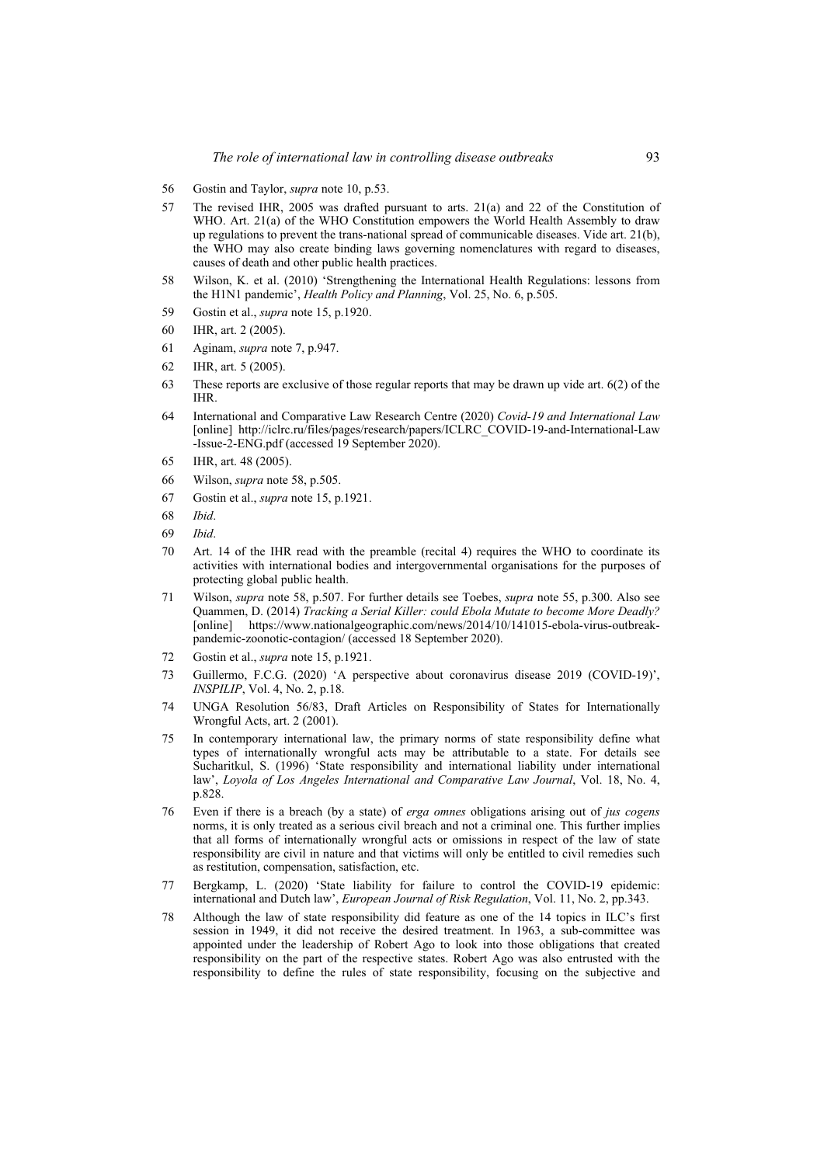- 56 Gostin and Taylor, *supra* note 10, p.53.
- 57 The revised IHR, 2005 was drafted pursuant to arts. 21(a) and 22 of the Constitution of WHO. Art. 21(a) of the WHO Constitution empowers the World Health Assembly to draw up regulations to prevent the trans-national spread of communicable diseases. Vide art. 21(b), the WHO may also create binding laws governing nomenclatures with regard to diseases, causes of death and other public health practices.
- 58 Wilson, K. et al. (2010) 'Strengthening the International Health Regulations: lessons from the H1N1 pandemic', *Health Policy and Planning*, Vol. 25, No. 6, p.505.
- 59 Gostin et al., *supra* note 15, p.1920.
- 60 IHR, art. 2 (2005).
- 61 Aginam, *supra* note 7, p.947.
- 62 IHR, art. 5 (2005).
- 63 These reports are exclusive of those regular reports that may be drawn up vide art. 6(2) of the IHR.
- 64 International and Comparative Law Research Centre (2020) *Covid-19 and International Law* [online] http://iclrc.ru/files/pages/research/papers/ICLRC\_COVID-19-and-International-Law -Issue-2-ENG.pdf (accessed 19 September 2020).
- 65 IHR, art. 48 (2005).
- 66 Wilson, *supra* note 58, p.505.
- 67 Gostin et al., *supra* note 15, p.1921.
- 68 *Ibid*.
- 69 *Ibid*.
- 70 Art. 14 of the IHR read with the preamble (recital 4) requires the WHO to coordinate its activities with international bodies and intergovernmental organisations for the purposes of protecting global public health.
- 71 Wilson, *supra* note 58, p.507. For further details see Toebes, *supra* note 55, p.300. Also see Quammen, D. (2014) *Tracking a Serial Killer: could Ebola Mutate to become More Deadly?* [online] https://www.nationalgeographic.com/news/2014/10/141015-ebola-virus-outbreakpandemic-zoonotic-contagion/ (accessed 18 September 2020).
- 72 Gostin et al., *supra* note 15, p.1921.
- 73 Guillermo, F.C.G. (2020) 'A perspective about coronavirus disease 2019 (COVID-19)', *INSPILIP*, Vol. 4, No. 2, p.18.
- 74 UNGA Resolution 56/83, Draft Articles on Responsibility of States for Internationally Wrongful Acts, art. 2 (2001).
- 75 In contemporary international law, the primary norms of state responsibility define what types of internationally wrongful acts may be attributable to a state. For details see Sucharitkul, S. (1996) 'State responsibility and international liability under international law', *Loyola of Los Angeles International and Comparative Law Journal*, Vol. 18, No. 4, p.828.
- 76 Even if there is a breach (by a state) of *erga omnes* obligations arising out of *jus cogens* norms, it is only treated as a serious civil breach and not a criminal one. This further implies that all forms of internationally wrongful acts or omissions in respect of the law of state responsibility are civil in nature and that victims will only be entitled to civil remedies such as restitution, compensation, satisfaction, etc.
- 77 Bergkamp, L. (2020) 'State liability for failure to control the COVID-19 epidemic: international and Dutch law', *European Journal of Risk Regulation*, Vol. 11, No. 2, pp.343.
- 78 Although the law of state responsibility did feature as one of the 14 topics in ILC's first session in 1949, it did not receive the desired treatment. In 1963, a sub-committee was appointed under the leadership of Robert Ago to look into those obligations that created responsibility on the part of the respective states. Robert Ago was also entrusted with the responsibility to define the rules of state responsibility, focusing on the subjective and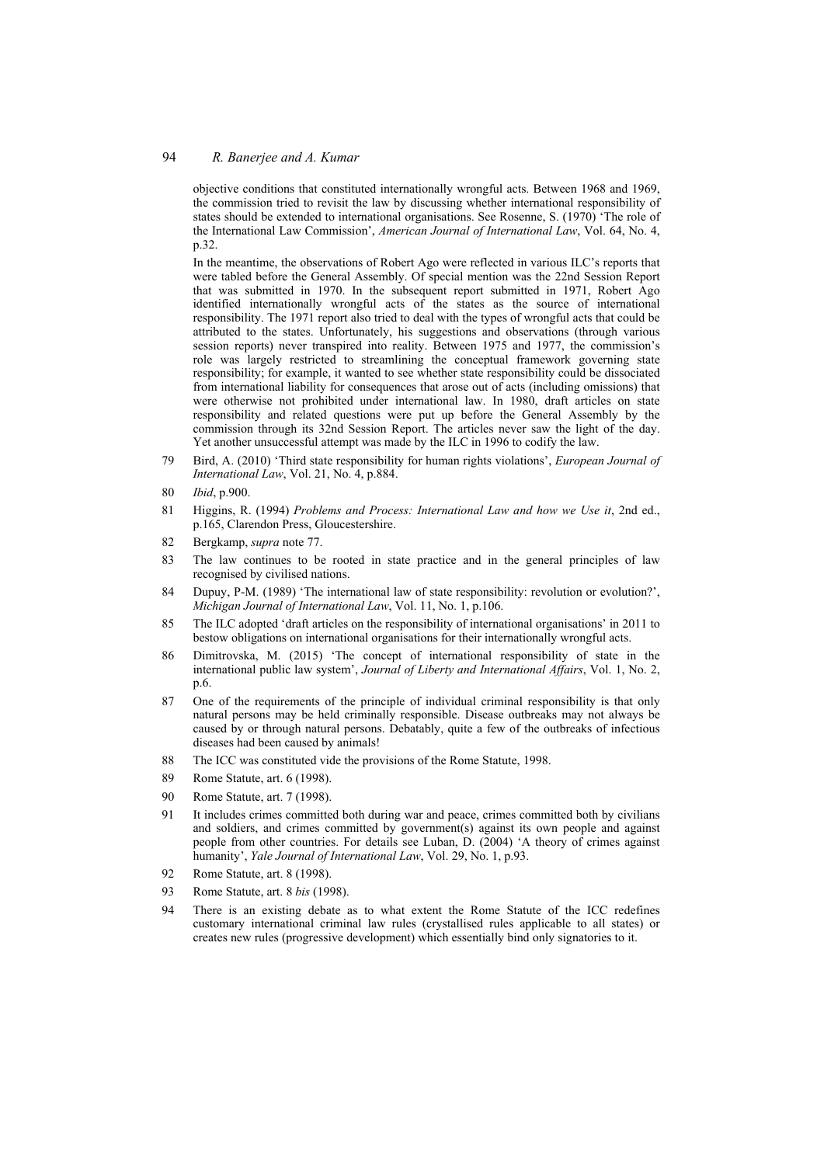#### 94 *R. Banerjee and A. Kumar*

objective conditions that constituted internationally wrongful acts. Between 1968 and 1969, the commission tried to revisit the law by discussing whether international responsibility of states should be extended to international organisations. See Rosenne, S. (1970) 'The role of the International Law Commission', *American Journal of International Law*, Vol. 64, No. 4, p.32.

In the meantime, the observations of Robert Ago were reflected in various ILC's reports that were tabled before the General Assembly. Of special mention was the 22nd Session Report that was submitted in 1970. In the subsequent report submitted in 1971, Robert Ago identified internationally wrongful acts of the states as the source of international responsibility. The 1971 report also tried to deal with the types of wrongful acts that could be attributed to the states. Unfortunately, his suggestions and observations (through various session reports) never transpired into reality. Between 1975 and 1977, the commission's role was largely restricted to streamlining the conceptual framework governing state responsibility; for example, it wanted to see whether state responsibility could be dissociated from international liability for consequences that arose out of acts (including omissions) that were otherwise not prohibited under international law. In 1980, draft articles on state responsibility and related questions were put up before the General Assembly by the commission through its 32nd Session Report. The articles never saw the light of the day. Yet another unsuccessful attempt was made by the ILC in 1996 to codify the law.

- 79 Bird, A. (2010) 'Third state responsibility for human rights violations', *European Journal of International Law*, Vol. 21, No. 4, p.884.
- 80 *Ibid*, p.900.
- 81 Higgins, R. (1994) *Problems and Process: International Law and how we Use it*, 2nd ed., p.165, Clarendon Press, Gloucestershire.
- 82 Bergkamp, *supra* note 77.
- 83 The law continues to be rooted in state practice and in the general principles of law recognised by civilised nations.
- 84 Dupuy, P-M. (1989) 'The international law of state responsibility: revolution or evolution?', *Michigan Journal of International Law*, Vol. 11, No. 1, p.106.
- 85 The ILC adopted 'draft articles on the responsibility of international organisations' in 2011 to bestow obligations on international organisations for their internationally wrongful acts.
- 86 Dimitrovska, M. (2015) 'The concept of international responsibility of state in the international public law system', *Journal of Liberty and International Affairs*, Vol. 1, No. 2, p.6.
- 87 One of the requirements of the principle of individual criminal responsibility is that only natural persons may be held criminally responsible. Disease outbreaks may not always be caused by or through natural persons. Debatably, quite a few of the outbreaks of infectious diseases had been caused by animals!
- 88 The ICC was constituted vide the provisions of the Rome Statute, 1998.
- 89 Rome Statute, art. 6 (1998).
- 90 Rome Statute, art. 7 (1998).
- 91 It includes crimes committed both during war and peace, crimes committed both by civilians and soldiers, and crimes committed by government(s) against its own people and against people from other countries. For details see Luban, D. (2004) 'A theory of crimes against humanity', *Yale Journal of International Law*, Vol. 29, No. 1, p.93.
- 92 Rome Statute, art. 8 (1998).
- 93 Rome Statute, art. 8 *bis* (1998).
- 94 There is an existing debate as to what extent the Rome Statute of the ICC redefines customary international criminal law rules (crystallised rules applicable to all states) or creates new rules (progressive development) which essentially bind only signatories to it.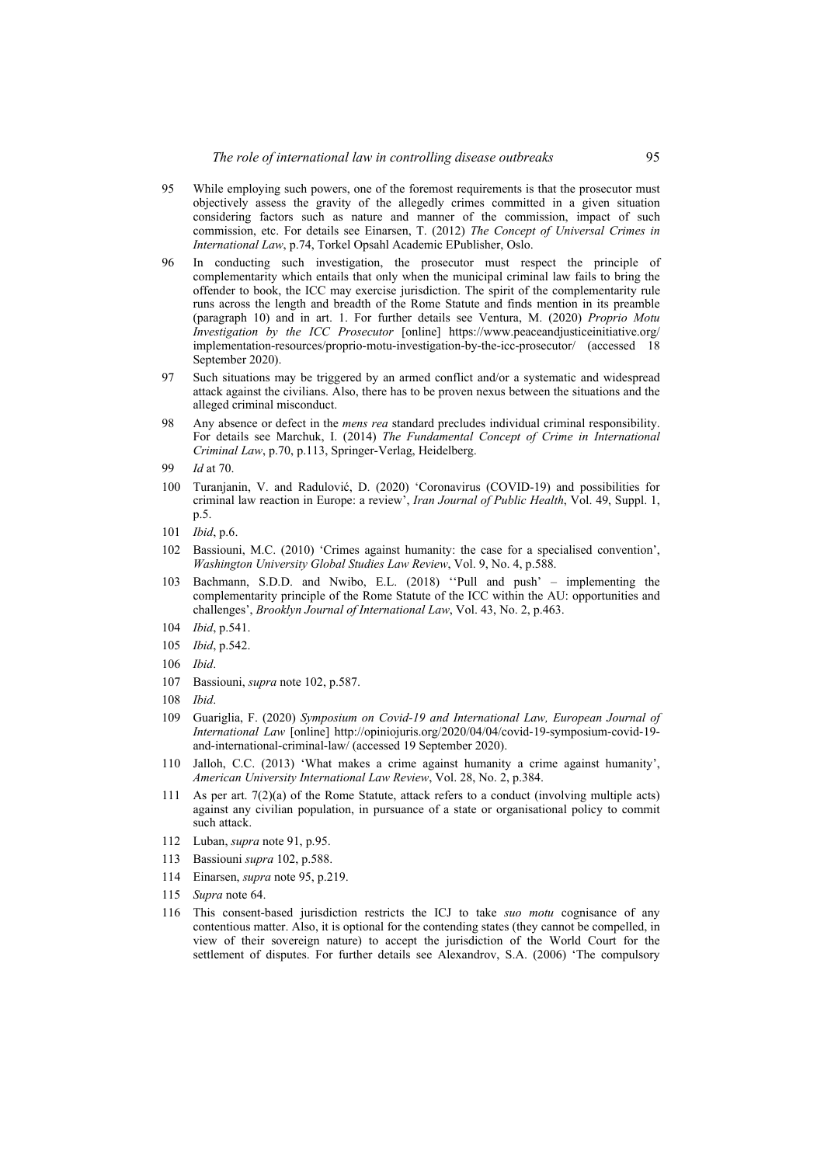- 95 While employing such powers, one of the foremost requirements is that the prosecutor must objectively assess the gravity of the allegedly crimes committed in a given situation considering factors such as nature and manner of the commission, impact of such commission, etc. For details see Einarsen, T. (2012) *The Concept of Universal Crimes in International Law*, p.74, Torkel Opsahl Academic EPublisher, Oslo.
- 96 In conducting such investigation, the prosecutor must respect the principle of complementarity which entails that only when the municipal criminal law fails to bring the offender to book, the ICC may exercise jurisdiction. The spirit of the complementarity rule runs across the length and breadth of the Rome Statute and finds mention in its preamble (paragraph 10) and in art. 1. For further details see Ventura, M. (2020) *Proprio Motu Investigation by the ICC Prosecutor* [online] https://www.peaceandjusticeinitiative.org/ implementation-resources/proprio-motu-investigation-by-the-icc-prosecutor/ (accessed 18 September 2020).
- 97 Such situations may be triggered by an armed conflict and/or a systematic and widespread attack against the civilians. Also, there has to be proven nexus between the situations and the alleged criminal misconduct.
- 98 Any absence or defect in the *mens rea* standard precludes individual criminal responsibility. For details see Marchuk, I. (2014) *The Fundamental Concept of Crime in International Criminal Law*, p.70, p.113, Springer-Verlag, Heidelberg.
- 99 *Id* at 70.
- 100 Turanjanin, V. and Radulović, D. (2020) 'Coronavirus (COVID-19) and possibilities for criminal law reaction in Europe: a review', *Iran Journal of Public Health*, Vol. 49, Suppl. 1, p.5.
- 101 *Ibid*, p.6.
- 102 Bassiouni, M.C. (2010) 'Crimes against humanity: the case for a specialised convention', *Washington University Global Studies Law Review*, Vol. 9, No. 4, p.588.
- 103 Bachmann, S.D.D. and Nwibo, E.L. (2018) ''Pull and push' implementing the complementarity principle of the Rome Statute of the ICC within the AU: opportunities and challenges', *Brooklyn Journal of International Law*, Vol. 43, No. 2, p.463.
- 104 *Ibid*, p.541.
- 105 *Ibid*, p.542.
- 106 *Ibid*.
- 107 Bassiouni, *supra* note 102, p.587.
- 108 *Ibid*.
- 109 Guariglia, F. (2020) *Symposium on Covid-19 and International Law, European Journal of International Law* [online] http://opiniojuris.org/2020/04/04/covid-19-symposium-covid-19 and-international-criminal-law/ (accessed 19 September 2020).
- 110 Jalloh, C.C. (2013) 'What makes a crime against humanity a crime against humanity', *American University International Law Review*, Vol. 28, No. 2, p.384.
- 111 As per art. 7(2)(a) of the Rome Statute, attack refers to a conduct (involving multiple acts) against any civilian population, in pursuance of a state or organisational policy to commit such attack.
- 112 Luban, *supra* note 91, p.95.
- 113 Bassiouni *supra* 102, p.588.
- 114 Einarsen, *supra* note 95, p.219.
- 115 *Supra* note 64.
- 116 This consent-based jurisdiction restricts the ICJ to take *suo motu* cognisance of any contentious matter. Also, it is optional for the contending states (they cannot be compelled, in view of their sovereign nature) to accept the jurisdiction of the World Court for the settlement of disputes. For further details see Alexandrov, S.A. (2006) 'The compulsory